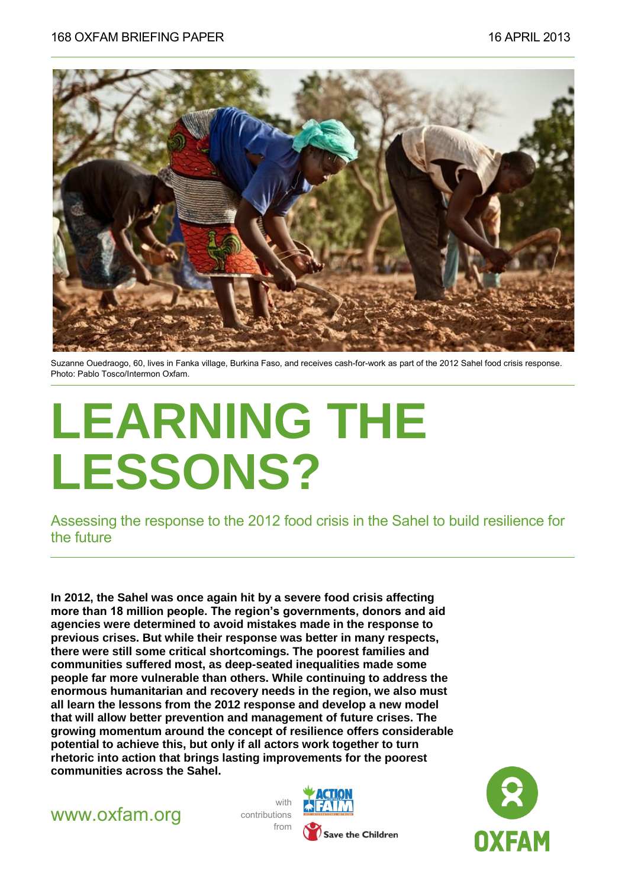

Suzanne Ouedraogo, 60, lives in Fanka village, Burkina Faso, and receives cash-for-work as part of the 2012 Sahel food crisis response. Photo: Pablo Tosco/Intermon Oxfam.

# **LEARNING THE LESSONS?**

Assessing the response to the 2012 food crisis in the Sahel to build resilience for the future

**In 2012, the Sahel was once again hit by a severe food crisis affecting more than 18 million people. The region's governments, donors and aid agencies were determined to avoid mistakes made in the response to previous crises. But while their response was better in many respects, there were still some critical shortcomings. The poorest families and communities suffered most, as deep-seated inequalities made some people far more vulnerable than others. While continuing to address the enormous humanitarian and recovery needs in the region, we also must all learn the lessons from the 2012 response and develop a new model that will allow better prevention and management of future crises. The growing momentum around the concept of resilience offers considerable potential to achieve this, but only if all actors work together to turn rhetoric into action that brings lasting improvements for the poorest communities across the Sahel.**



with contributions from



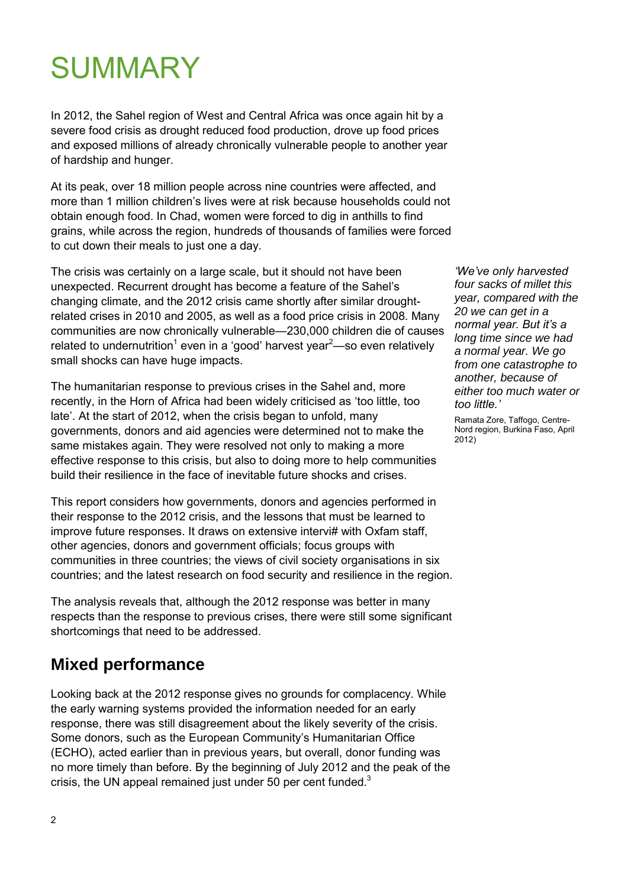# **SUMMARY**

In 2012, the Sahel region of West and Central Africa was once again hit by a severe food crisis as drought reduced food production, drove up food prices and exposed millions of already chronically vulnerable people to another year of hardship and hunger.

At its peak, over 18 million people across nine countries were affected, and more than 1 million children's lives were at risk because households could not obtain enough food. In Chad, women were forced to dig in anthills to find grains, while across the region, hundreds of thousands of families were forced to cut down their meals to just one a day.

The crisis was certainly on a large scale, but it should not have been unexpected. Recurrent drought has become a feature of the Sahel's changing climate, and the 2012 crisis came shortly after similar droughtrelated crises in 2010 and 2005, as well as a food price crisis in 2008. Many communities are now chronically vulnerable—230,000 children die of causes related to undernutrition<sup>1</sup> even in a 'good' harvest year<sup>2</sup>—so even relatively small shocks can have huge impacts.

The humanitarian response to previous crises in the Sahel and, more recently, in the Horn of Africa had been widely criticised as 'too little, too late'. At the start of 2012, when the crisis began to unfold, many governments, donors and aid agencies were determined not to make the same mistakes again. They were resolved not only to making a more effective response to this crisis, but also to doing more to help communities build their resilience in the face of inevitable future shocks and crises.

This report considers how governments, donors and agencies performed in their response to the 2012 crisis, and the lessons that must be learned to improve future responses. It draws on extensive intervi# with Oxfam staff, other agencies, donors and government officials; focus groups with communities in three countries; the views of civil society organisations in six countries; and the latest research on food security and resilience in the region.

The analysis reveals that, although the 2012 response was better in many respects than the response to previous crises, there were still some significant shortcomings that need to be addressed.

### **Mixed performance**

Looking back at the 2012 response gives no grounds for complacency. While the early warning systems provided the information needed for an early response, there was still disagreement about the likely severity of the crisis. Some donors, such as the European Community's Humanitarian Office (ECHO), acted earlier than in previous years, but overall, donor funding was no more timely than before. By the beginning of July 2012 and the peak of the crisis, the UN appeal remained just under 50 per cent funded.<sup>3</sup>

*'We've only harvested four sacks of millet this year, compared with the 20 we can get in a normal year. But it's a long time since we had a normal year. We go from one catastrophe to another, because of either too much water or too little.'* 

Ramata Zore, Taffogo, Centre-Nord region, Burkina Faso, April 2012)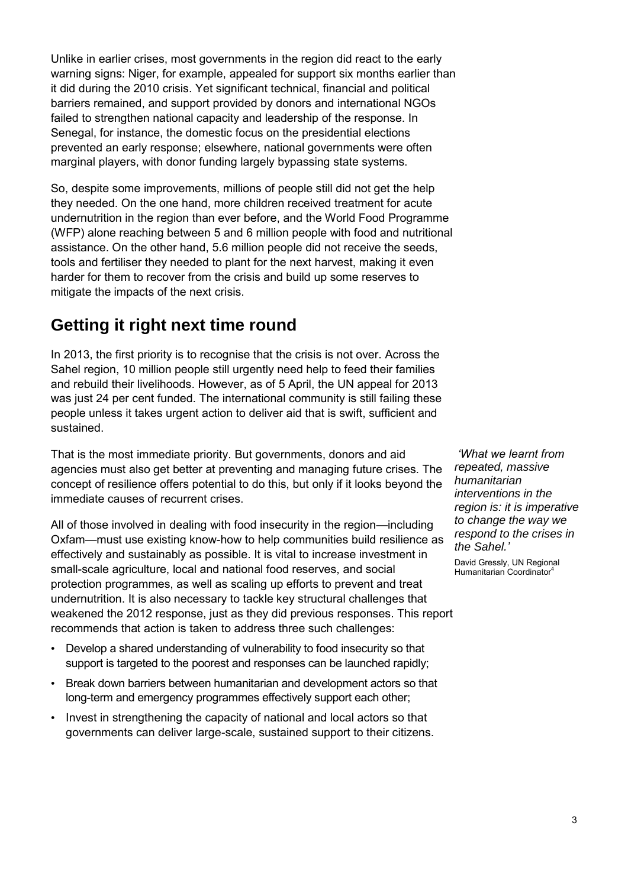Unlike in earlier crises, most governments in the region did react to the early warning signs: Niger, for example, appealed for support six months earlier than it did during the 2010 crisis. Yet significant technical, financial and political barriers remained, and support provided by donors and international NGOs failed to strengthen national capacity and leadership of the response. In Senegal, for instance, the domestic focus on the presidential elections prevented an early response; elsewhere, national governments were often marginal players, with donor funding largely bypassing state systems.

So, despite some improvements, millions of people still did not get the help they needed. On the one hand, more children received treatment for acute undernutrition in the region than ever before, and the World Food Programme (WFP) alone reaching between 5 and 6 million people with food and nutritional assistance. On the other hand, 5.6 million people did not receive the seeds, tools and fertiliser they needed to plant for the next harvest, making it even harder for them to recover from the crisis and build up some reserves to mitigate the impacts of the next crisis.

#### **Getting it right next time round**

In 2013, the first priority is to recognise that the crisis is not over. Across the Sahel region, 10 million people still urgently need help to feed their families and rebuild their livelihoods. However, as of 5 April, the UN appeal for 2013 was just 24 per cent funded. The international community is still failing these people unless it takes urgent action to deliver aid that is swift, sufficient and sustained.

That is the most immediate priority. But governments, donors and aid agencies must also get better at preventing and managing future crises. The concept of resilience offers potential to do this, but only if it looks beyond the immediate causes of recurrent crises.

All of those involved in dealing with food insecurity in the region—including Oxfam—must use existing know-how to help communities build resilience as effectively and sustainably as possible. It is vital to increase investment in small-scale agriculture, local and national food reserves, and social protection programmes, as well as scaling up efforts to prevent and treat undernutrition. It is also necessary to tackle key structural challenges that weakened the 2012 response, just as they did previous responses. This report recommends that action is taken to address three such challenges:

- Develop a shared understanding of vulnerability to food insecurity so that support is targeted to the poorest and responses can be launched rapidly;
- Break down barriers between humanitarian and development actors so that long-term and emergency programmes effectively support each other;
- Invest in strengthening the capacity of national and local actors so that governments can deliver large-scale, sustained support to their citizens.

*'What we learnt from repeated, massive humanitarian interventions in the region is: it is imperative to change the way we respond to the crises in the Sahel.'*

David Gressly, UN Regional Humanitarian Coordinator<sup>4</sup>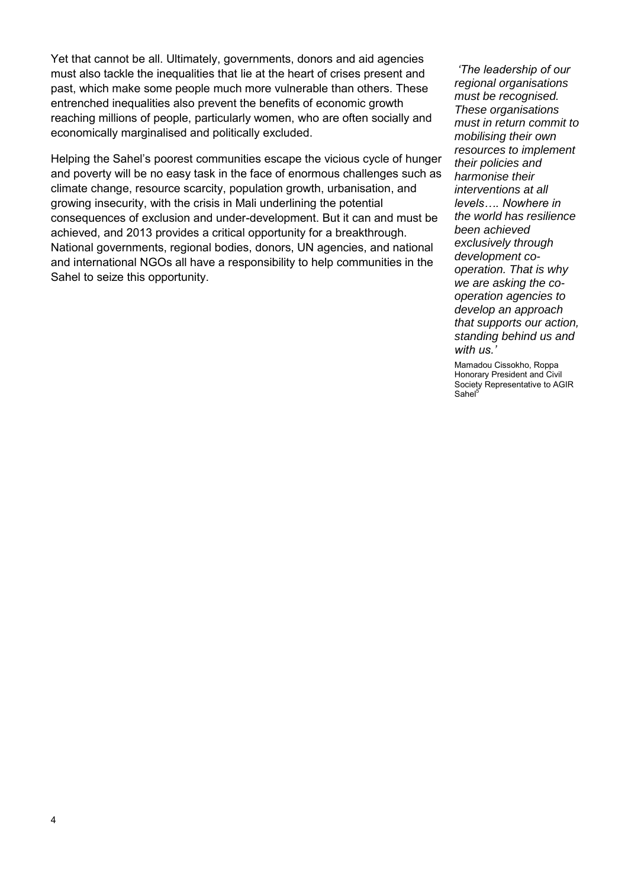Yet that cannot be all. Ultimately, governments, donors and aid agencies must also tackle the inequalities that lie at the heart of crises present and past, which make some people much more vulnerable than others. These entrenched inequalities also prevent the benefits of economic growth reaching millions of people, particularly women, who are often socially and economically marginalised and politically excluded.

Helping the Sahel's poorest communities escape the vicious cycle of hunger and poverty will be no easy task in the face of enormous challenges such as climate change, resource scarcity, population growth, urbanisation, and growing insecurity, with the crisis in Mali underlining the potential consequences of exclusion and under-development. But it can and must be achieved, and 2013 provides a critical opportunity for a breakthrough. National governments, regional bodies, donors, UN agencies, and national and international NGOs all have a responsibility to help communities in the Sahel to seize this opportunity.

*'The leadership of our regional organisations must be recognised. These organisations must in return commit to mobilising their own resources to implement their policies and harmonise their interventions at all levels…. Nowhere in the world has resilience been achieved exclusively through development cooperation. That is why we are asking the cooperation agencies to develop an approach that supports our action, standing behind us and with us.'*

Mamadou Cissokho, Roppa Honorary President and Civil Society Representative to AGIR Sahel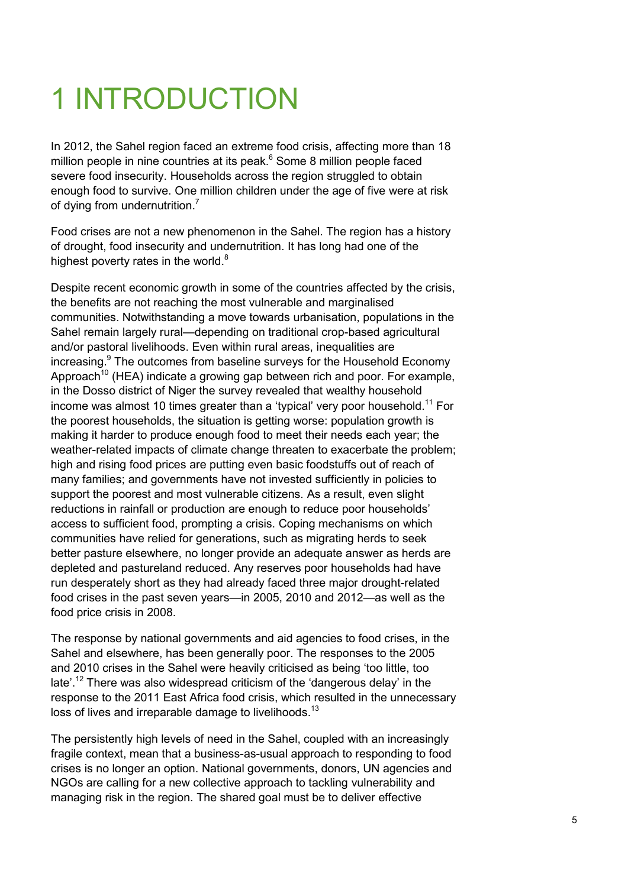# 1 INTRODUCTION

In 2012, the Sahel region faced an extreme food crisis, affecting more than 18 million people in nine countries at its peak. 6 Some 8 million people faced severe food insecurity. Households across the region struggled to obtain enough food to survive. One million children under the age of five were at risk of dying from undernutrition.<sup>7</sup>

Food crises are not a new phenomenon in the Sahel. The region has a history of drought, food insecurity and undernutrition. It has long had one of the highest poverty rates in the world. $8$ 

Despite recent economic growth in some of the countries affected by the crisis, the benefits are not reaching the most vulnerable and marginalised communities. Notwithstanding a move towards urbanisation, populations in the Sahel remain largely rural—depending on traditional crop-based agricultural and/or pastoral livelihoods. Even within rural areas, inequalities are increasing.<sup>9</sup> The outcomes from baseline surveys for the Household Economy Approach<sup>10</sup> (HEA) indicate a growing gap between rich and poor. For example, in the Dosso district of Niger the survey revealed that wealthy household income was almost 10 times greater than a 'typical' very poor household.<sup>11</sup> For the poorest households, the situation is getting worse: population growth is making it harder to produce enough food to meet their needs each year; the weather-related impacts of climate change threaten to exacerbate the problem; high and rising food prices are putting even basic foodstuffs out of reach of many families; and governments have not invested sufficiently in policies to support the poorest and most vulnerable citizens. As a result, even slight reductions in rainfall or production are enough to reduce poor households' access to sufficient food, prompting a crisis. Coping mechanisms on which communities have relied for generations, such as migrating herds to seek better pasture elsewhere, no longer provide an adequate answer as herds are depleted and pastureland reduced. Any reserves poor households had have run desperately short as they had already faced three major drought-related food crises in the past seven years—in 2005, 2010 and 2012—as well as the food price crisis in 2008.

The response by national governments and aid agencies to food crises, in the Sahel and elsewhere, has been generally poor. The responses to the 2005 and 2010 crises in the Sahel were heavily criticised as being 'too little, too late'.<sup>12</sup> There was also widespread criticism of the 'dangerous delay' in the response to the 2011 East Africa food crisis, which resulted in the unnecessary loss of lives and irreparable damage to livelihoods.<sup>13</sup>

The persistently high levels of need in the Sahel, coupled with an increasingly fragile context, mean that a business-as-usual approach to responding to food crises is no longer an option. National governments, donors, UN agencies and NGOs are calling for a new collective approach to tackling vulnerability and managing risk in the region. The shared goal must be to deliver effective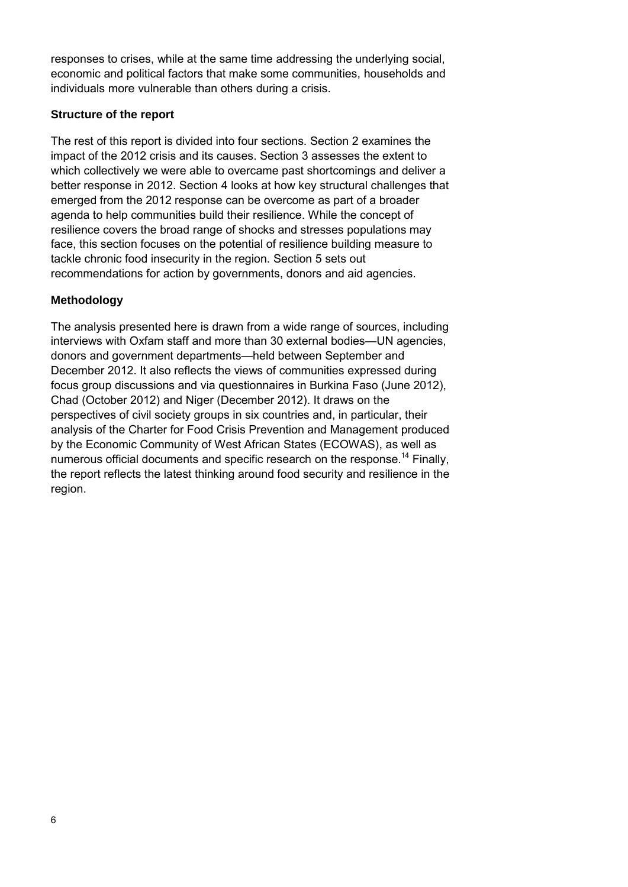responses to crises, while at the same time addressing the underlying social, economic and political factors that make some communities, households and individuals more vulnerable than others during a crisis.

#### **Structure of the report**

The rest of this report is divided into four sections. Section 2 examines the impact of the 2012 crisis and its causes. Section 3 assesses the extent to which collectively we were able to overcame past shortcomings and deliver a better response in 2012. Section 4 looks at how key structural challenges that emerged from the 2012 response can be overcome as part of a broader agenda to help communities build their resilience. While the concept of resilience covers the broad range of shocks and stresses populations may face, this section focuses on the potential of resilience building measure to tackle chronic food insecurity in the region. Section 5 sets out recommendations for action by governments, donors and aid agencies.

#### **Methodology**

The analysis presented here is drawn from a wide range of sources, including interviews with Oxfam staff and more than 30 external bodies—UN agencies, donors and government departments—held between September and December 2012. It also reflects the views of communities expressed during focus group discussions and via questionnaires in Burkina Faso (June 2012), Chad (October 2012) and Niger (December 2012). It draws on the perspectives of civil society groups in six countries and, in particular, their analysis of the Charter for Food Crisis Prevention and Management produced by the Economic Community of West African States (ECOWAS), as well as numerous official documents and specific research on the response.<sup>14</sup> Finally, the report reflects the latest thinking around food security and resilience in the region.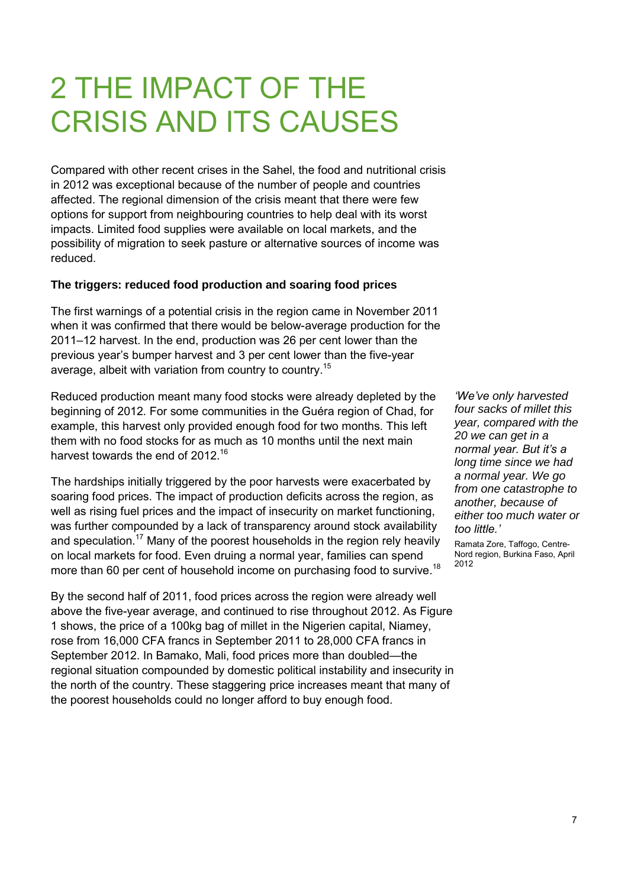## 2 THE IMPACT OF THE CRISIS AND ITS CAUSES

Compared with other recent crises in the Sahel, the food and nutritional crisis in 2012 was exceptional because of the number of people and countries affected. The regional dimension of the crisis meant that there were few options for support from neighbouring countries to help deal with its worst impacts. Limited food supplies were available on local markets, and the possibility of migration to seek pasture or alternative sources of income was reduced.

#### **The triggers: reduced food production and soaring food prices**

The first warnings of a potential crisis in the region came in November 2011 when it was confirmed that there would be below-average production for the 2011–12 harvest. In the end, production was 26 per cent lower than the previous year's bumper harvest and 3 per cent lower than the five-year average, albeit with variation from country to country.<sup>15</sup>

Reduced production meant many food stocks were already depleted by the beginning of 2012. For some communities in the Guéra region of Chad, for example, this harvest only provided enough food for two months. This left them with no food stocks for as much as 10 months until the next main harvest towards the end of 2012.<sup>16</sup>

The hardships initially triggered by the poor harvests were exacerbated by soaring food prices. The impact of production deficits across the region, as well as rising fuel prices and the impact of insecurity on market functioning, was further compounded by a lack of transparency around stock availability and speculation.<sup>17</sup> Many of the poorest households in the region rely heavily on local markets for food. Even druing a normal year, families can spend more than 60 per cent of household income on purchasing food to survive.<sup>18</sup>

By the second half of 2011, food prices across the region were already well above the five-year average, and continued to rise throughout 2012. As Figure 1 shows, the price of a 100kg bag of millet in the Nigerien capital, Niamey, rose from 16,000 CFA francs in September 2011 to 28,000 CFA francs in September 2012. In Bamako, Mali, food prices more than doubled—the regional situation compounded by domestic political instability and insecurity in the north of the country. These staggering price increases meant that many of the poorest households could no longer afford to buy enough food.

*'We've only harvested four sacks of millet this year, compared with the 20 we can get in a normal year. But it's a long time since we had a normal year. We go from one catastrophe to another, because of either too much water or too little.'*

Ramata Zore, Taffogo, Centre-Nord region, Burkina Faso, April 2012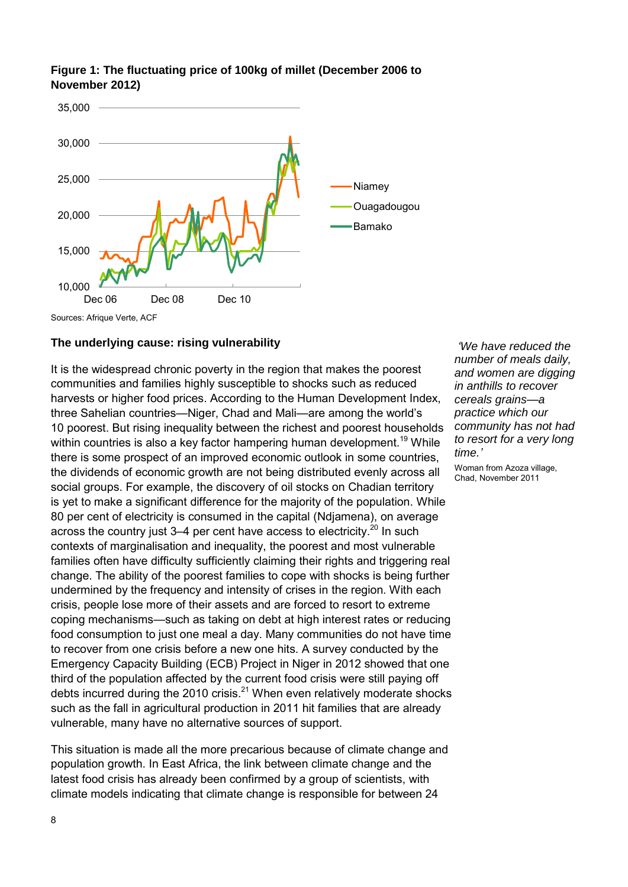

#### **Figure 1: The fluctuating price of 100kg of millet (December 2006 to November 2012)**

#### **The underlying cause: rising vulnerability**

It is the widespread chronic poverty in the region that makes the poorest communities and families highly susceptible to shocks such as reduced harvests or higher food prices. According to the Human Development Index, three Sahelian countries—Niger, Chad and Mali—are among the world's 10 poorest. But rising inequality between the richest and poorest households within countries is also a key factor hampering human development.<sup>19</sup> While there is some prospect of an improved economic outlook in some countries, the dividends of economic growth are not being distributed evenly across all social groups. For example, the discovery of oil stocks on Chadian territory is yet to make a significant difference for the majority of the population. While 80 per cent of electricity is consumed in the capital (Ndjamena), on average across the country just  $3-4$  per cent have access to electricity.<sup>20</sup> In such contexts of marginalisation and inequality, the poorest and most vulnerable families often have difficulty sufficiently claiming their rights and triggering real change. The ability of the poorest families to cope with shocks is being further undermined by the frequency and intensity of crises in the region. With each crisis, people lose more of their assets and are forced to resort to extreme coping mechanisms—such as taking on debt at high interest rates or reducing food consumption to just one meal a day. Many communities do not have time to recover from one crisis before a new one hits. A survey conducted by the Emergency Capacity Building (ECB) Project in Niger in 2012 showed that one third of the population affected by the current food crisis were still paying off debts incurred during the 2010 crisis.<sup>21</sup> When even relatively moderate shocks such as the fall in agricultural production in 2011 hit families that are already vulnerable, many have no alternative sources of support.

This situation is made all the more precarious because of climate change and population growth. In East Africa, the link between climate change and the latest food crisis has already been confirmed by a group of scientists, with climate models indicating that climate change is responsible for between 24

*'We have reduced the number of meals daily, and women are digging in anthills to recover cereals grains—a practice which our community has not had to resort for a very long time.'*

Woman from Azoza village, Chad, November 2011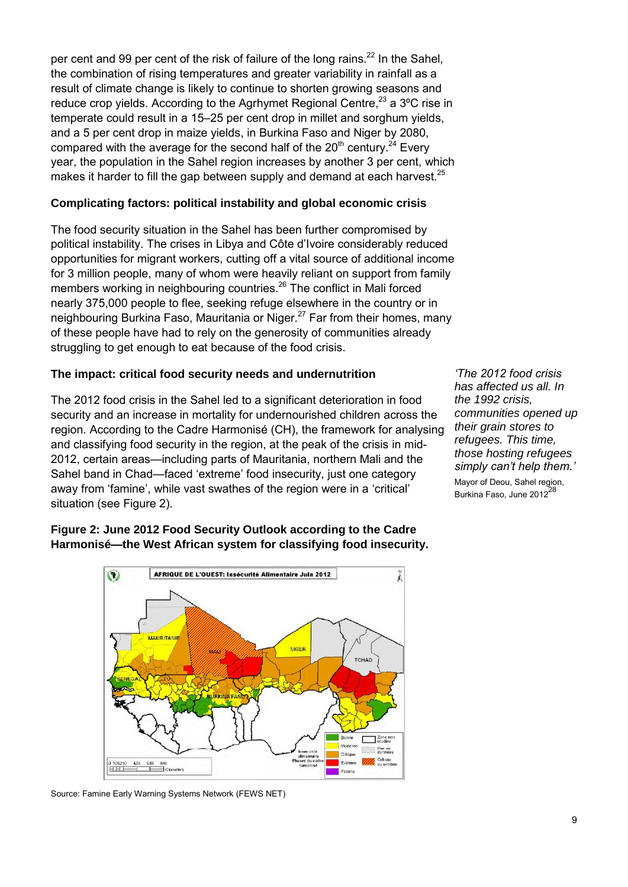per cent and 99 per cent of the risk of failure of the long rains.<sup>22</sup> In the Sahel, the combination of rising temperatures and greater variability in rainfall as a result of climate change is likely to continue to shorten growing seasons and reduce crop yields. According to the Agrhymet Regional Centre,  $23$  a  $3^{\circ}$ C rise in temperate could result in a 15–25 per cent drop in millet and sorghum yields, and a 5 per cent drop in maize yields, in Burkina Faso and Niger by 2080, compared with the average for the second half of the  $20<sup>th</sup>$  century.<sup>24</sup> Every year, the population in the Sahel region increases by another 3 per cent, which makes it harder to fill the gap between supply and demand at each harvest. $^{25}$ 

#### **Complicating factors: political instability and global economic crisis**

The food security situation in the Sahel has been further compromised by political instability. The crises in Libya and Côte d'Ivoire considerably reduced opportunities for migrant workers, cutting off a vital source of additional income for 3 million people, many of whom were heavily reliant on support from family members working in neighbouring countries.<sup>26</sup> The conflict in Mali forced nearly 375,000 people to flee, seeking refuge elsewhere in the country or in neighbouring Burkina Faso, Mauritania or Niger.<sup>27</sup> Far from their homes, many of these people have had to rely on the generosity of communities already struggling to get enough to eat because of the food crisis.

#### **The impact: critical food security needs and undernutrition**

The 2012 food crisis in the Sahel led to a significant deterioration in food security and an increase in mortality for undernourished children across the region. According to the Cadre Harmonisé (CH), the framework for analysing and classifying food security in the region, at the peak of the crisis in mid-2012, certain areas—including parts of Mauritania, northern Mali and the Sahel band in Chad—faced 'extreme' food insecurity, just one category away from 'famine', while vast swathes of the region were in a 'critical' situation (see Figure 2).

*'The 2012 food crisis has affected us all. In the 1992 crisis, communities opened up their grain stores to refugees. This time, those hosting refugees simply can't help them.'* Mayor of Deou, Sahel region, Burkina Faso, June 2012<sup>28</sup>

#### **Figure 2: June 2012 Food Security Outlook according to the Cadre Harmonisé—the West African system for classifying food insecurity.**



Source: Famine Early Warning Systems Network (FEWS NET)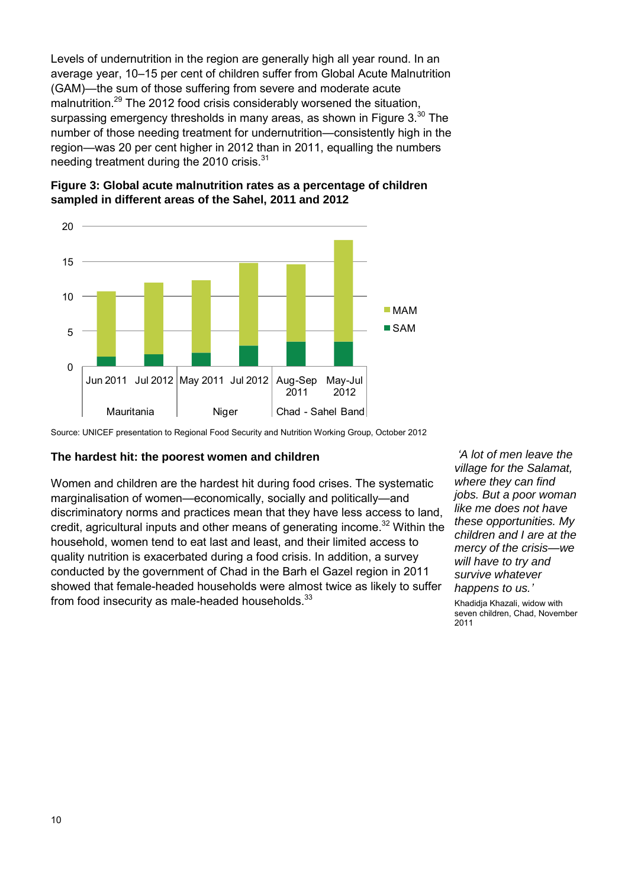Levels of undernutrition in the region are generally high all year round. In an average year, 10–15 per cent of children suffer from Global Acute Malnutrition (GAM)—the sum of those suffering from severe and moderate acute malnutrition.<sup>29</sup> The 2012 food crisis considerably worsened the situation. surpassing emergency thresholds in many areas, as shown in Figure 3.<sup>30</sup> The number of those needing treatment for undernutrition—consistently high in the region—was 20 per cent higher in 2012 than in 2011, equalling the numbers needing treatment during the 2010 crisis. $31$ 





#### **The hardest hit: the poorest women and children**

Women and children are the hardest hit during food crises. The systematic marginalisation of women—economically, socially and politically—and discriminatory norms and practices mean that they have less access to land, credit, agricultural inputs and other means of generating income.<sup>32</sup> Within the household, women tend to eat last and least, and their limited access to quality nutrition is exacerbated during a food crisis. In addition, a survey conducted by the government of Chad in the Barh el Gazel region in 2011 showed that female-headed households were almost twice as likely to suffer from food insecurity as male-headed households. $^{33}$ 

*'A lot of men leave the village for the Salamat, where they can find jobs. But a poor woman like me does not have these opportunities. My children and I are at the mercy of the crisis—we will have to try and survive whatever happens to us.'*

Khadidja Khazali, widow with seven children, Chad, November 2011

Source: UNICEF presentation to Regional Food Security and Nutrition Working Group, October 2012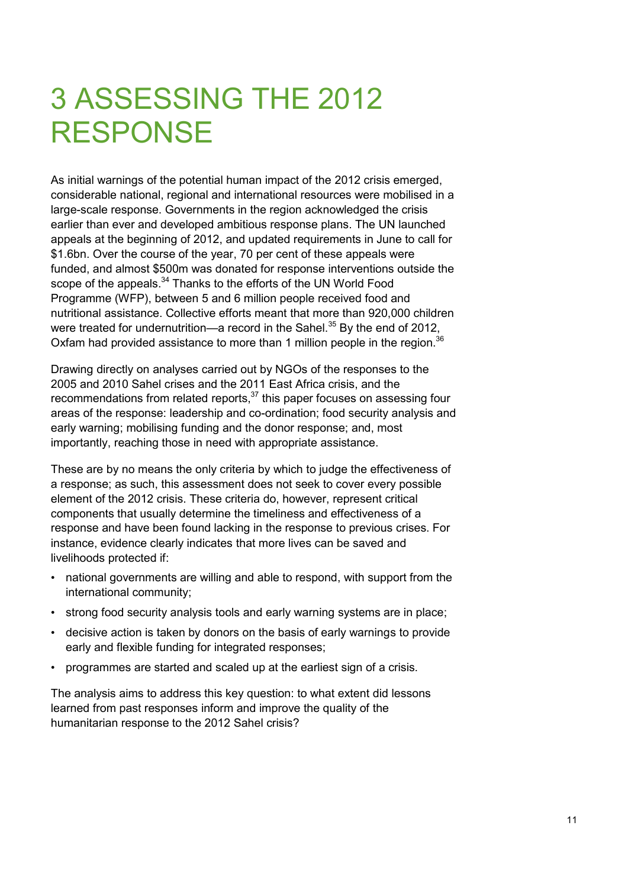# 3 ASSESSING THE 2012 RESPONSE

As initial warnings of the potential human impact of the 2012 crisis emerged, considerable national, regional and international resources were mobilised in a large-scale response. Governments in the region acknowledged the crisis earlier than ever and developed ambitious response plans. The UN launched appeals at the beginning of 2012, and updated requirements in June to call for \$1.6bn. Over the course of the year, 70 per cent of these appeals were funded, and almost \$500m was donated for response interventions outside the scope of the appeals.<sup>34</sup> Thanks to the efforts of the UN World Food Programme (WFP), between 5 and 6 million people received food and nutritional assistance. Collective efforts meant that more than 920,000 children were treated for undernutrition—a record in the Sahel.<sup>35</sup> Bv the end of 2012. Oxfam had provided assistance to more than 1 million people in the region.<sup>36</sup>

Drawing directly on analyses carried out by NGOs of the responses to the 2005 and 2010 Sahel crises and the 2011 East Africa crisis, and the recommendations from related reports,<sup>37</sup> this paper focuses on assessing four areas of the response: leadership and co-ordination; food security analysis and early warning; mobilising funding and the donor response; and, most importantly, reaching those in need with appropriate assistance.

These are by no means the only criteria by which to judge the effectiveness of a response; as such, this assessment does not seek to cover every possible element of the 2012 crisis. These criteria do, however, represent critical components that usually determine the timeliness and effectiveness of a response and have been found lacking in the response to previous crises. For instance, evidence clearly indicates that more lives can be saved and livelihoods protected if:

- national governments are willing and able to respond, with support from the international community;
- strong food security analysis tools and early warning systems are in place;
- decisive action is taken by donors on the basis of early warnings to provide early and flexible funding for integrated responses;
- programmes are started and scaled up at the earliest sign of a crisis.

The analysis aims to address this key question: to what extent did lessons learned from past responses inform and improve the quality of the humanitarian response to the 2012 Sahel crisis?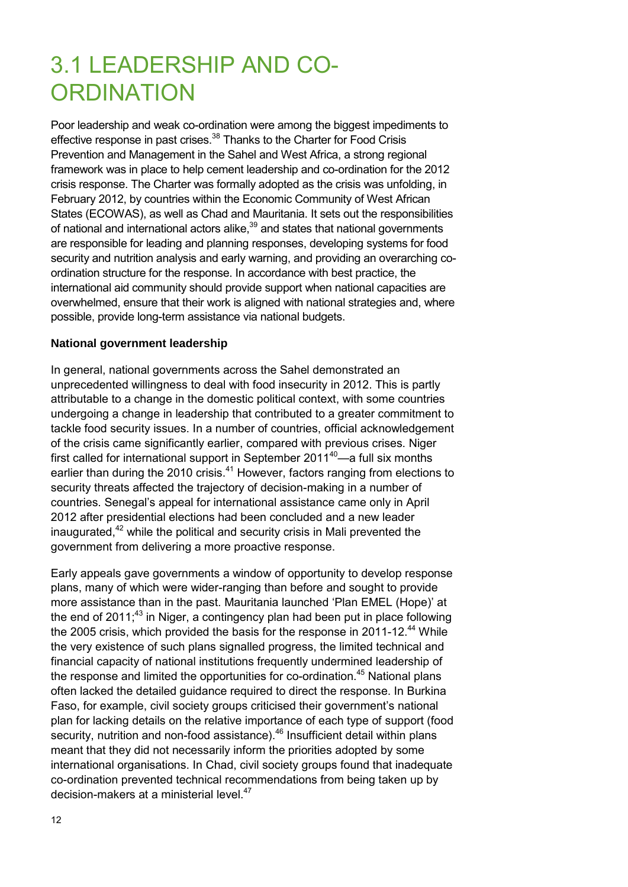### 3.1 LEADERSHIP AND CO-**ORDINATION**

Poor leadership and weak co-ordination were among the biggest impediments to effective response in past crises.<sup>38</sup> Thanks to the Charter for Food Crisis Prevention and Management in the Sahel and West Africa, a strong regional framework was in place to help cement leadership and co-ordination for the 2012 crisis response. The Charter was formally adopted as the crisis was unfolding, in February 2012, by countries within the Economic Community of West African States (ECOWAS), as well as Chad and Mauritania. It sets out the responsibilities of national and international actors alike, $39$  and states that national governments are responsible for leading and planning responses, developing systems for food security and nutrition analysis and early warning, and providing an overarching coordination structure for the response. In accordance with best practice, the international aid community should provide support when national capacities are overwhelmed, ensure that their work is aligned with national strategies and, where possible, provide long-term assistance via national budgets.

#### **National government leadership**

In general, national governments across the Sahel demonstrated an unprecedented willingness to deal with food insecurity in 2012. This is partly attributable to a change in the domestic political context, with some countries undergoing a change in leadership that contributed to a greater commitment to tackle food security issues. In a number of countries, official acknowledgement of the crisis came significantly earlier, compared with previous crises. Niger first called for international support in September  $2011^{40}$ —a full six months earlier than during the 2010 crisis.<sup>41</sup> However, factors ranging from elections to security threats affected the trajectory of decision-making in a number of countries. Senegal's appeal for international assistance came only in April 2012 after presidential elections had been concluded and a new leader inaugurated, $42$  while the political and security crisis in Mali prevented the government from delivering a more proactive response.

Early appeals gave governments a window of opportunity to develop response plans, many of which were wider-ranging than before and sought to provide more assistance than in the past. Mauritania launched 'Plan EMEL (Hope)' at the end of  $2011<sup>43</sup>$  in Niger, a contingency plan had been put in place following the 2005 crisis, which provided the basis for the response in 2011-12.<sup>44</sup> While the very existence of such plans signalled progress, the limited technical and financial capacity of national institutions frequently undermined leadership of the response and limited the opportunities for co-ordination.<sup>45</sup> National plans often lacked the detailed guidance required to direct the response. In Burkina Faso, for example, civil society groups criticised their government's national plan for lacking details on the relative importance of each type of support (food security, nutrition and non-food assistance).<sup>46</sup> Insufficient detail within plans meant that they did not necessarily inform the priorities adopted by some international organisations. In Chad, civil society groups found that inadequate co-ordination prevented technical recommendations from being taken up by decision-makers at a ministerial level.<sup>47</sup>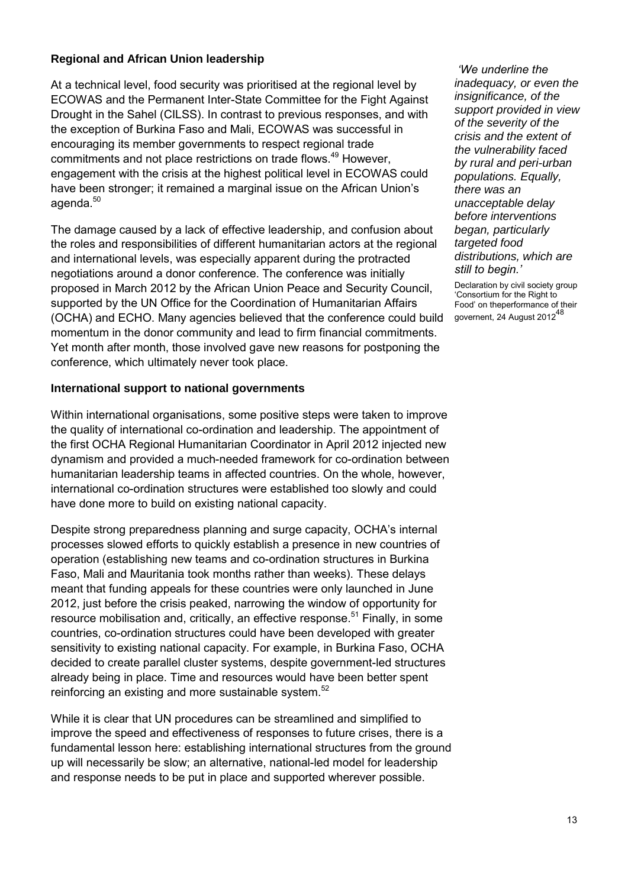#### **Regional and African Union leadership**

At a technical level, food security was prioritised at the regional level by ECOWAS and the Permanent Inter-State Committee for the Fight Against Drought in the Sahel (CILSS). In contrast to previous responses, and with the exception of Burkina Faso and Mali, ECOWAS was successful in encouraging its member governments to respect regional trade commitments and not place restrictions on trade flows.<sup>49</sup> However, engagement with the crisis at the highest political level in ECOWAS could have been stronger; it remained a marginal issue on the African Union's agenda.<sup>50</sup>

The damage caused by a lack of effective leadership, and confusion about the roles and responsibilities of different humanitarian actors at the regional and international levels, was especially apparent during the protracted negotiations around a donor conference. The conference was initially proposed in March 2012 by the African Union Peace and Security Council, supported by the UN Office for the Coordination of Humanitarian Affairs (OCHA) and ECHO. Many agencies believed that the conference could build momentum in the donor community and lead to firm financial commitments. Yet month after month, those involved gave new reasons for postponing the conference, which ultimately never took place.

#### **International support to national governments**

Within international organisations, some positive steps were taken to improve the quality of international co-ordination and leadership. The appointment of the first OCHA Regional Humanitarian Coordinator in April 2012 injected new dynamism and provided a much-needed framework for co-ordination between humanitarian leadership teams in affected countries. On the whole, however, international co-ordination structures were established too slowly and could have done more to build on existing national capacity.

Despite strong preparedness planning and surge capacity, OCHA's internal processes slowed efforts to quickly establish a presence in new countries of operation (establishing new teams and co-ordination structures in Burkina Faso, Mali and Mauritania took months rather than weeks). These delays meant that funding appeals for these countries were only launched in June 2012, just before the crisis peaked, narrowing the window of opportunity for resource mobilisation and, critically, an effective response.<sup>51</sup> Finally, in some countries, co-ordination structures could have been developed with greater sensitivity to existing national capacity. For example, in Burkina Faso, OCHA decided to create parallel cluster systems, despite government-led structures already being in place. Time and resources would have been better spent reinforcing an existing and more sustainable system.<sup>52</sup>

While it is clear that UN procedures can be streamlined and simplified to improve the speed and effectiveness of responses to future crises, there is a fundamental lesson here: establishing international structures from the ground up will necessarily be slow; an alternative, national-led model for leadership and response needs to be put in place and supported wherever possible.

*'We underline the inadequacy, or even the insignificance, of the support provided in view of the severity of the crisis and the extent of the vulnerability faced by rural and peri-urban populations. Equally, there was an unacceptable delay before interventions began, particularly targeted food distributions, which are still to begin.'* 

Declaration by civil society group 'Consortium for the Right to Food' on theperformance of their governent, 24 August 2012<sup>48</sup>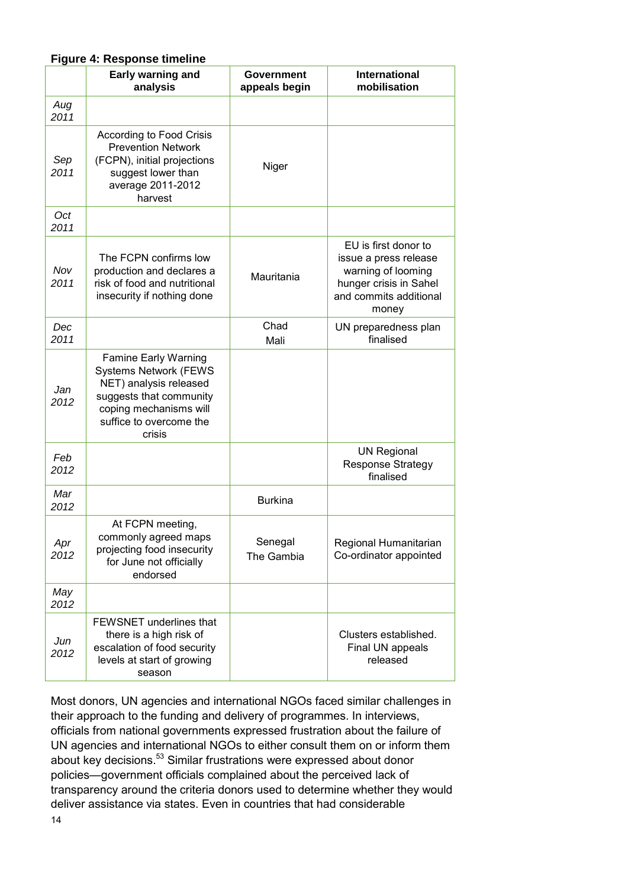#### **Figure 4: Response timeline**

|             | Early warning and<br>analysis                                                                                                                                                   | Government<br>appeals begin | <b>International</b><br>mobilisation                                                                                             |
|-------------|---------------------------------------------------------------------------------------------------------------------------------------------------------------------------------|-----------------------------|----------------------------------------------------------------------------------------------------------------------------------|
| Aug<br>2011 |                                                                                                                                                                                 |                             |                                                                                                                                  |
| Sep<br>2011 | According to Food Crisis<br><b>Prevention Network</b><br>(FCPN), initial projections<br>suggest lower than<br>average 2011-2012<br>harvest                                      | Niger                       |                                                                                                                                  |
| Oct<br>2011 |                                                                                                                                                                                 |                             |                                                                                                                                  |
| Nov<br>2011 | The FCPN confirms low<br>production and declares a<br>risk of food and nutritional<br>insecurity if nothing done                                                                | Mauritania                  | EU is first donor to<br>issue a press release<br>warning of looming<br>hunger crisis in Sahel<br>and commits additional<br>money |
| Dec<br>2011 |                                                                                                                                                                                 | Chad<br>Mali                | UN preparedness plan<br>finalised                                                                                                |
| Jan<br>2012 | <b>Famine Early Warning</b><br><b>Systems Network (FEWS</b><br>NET) analysis released<br>suggests that community<br>coping mechanisms will<br>suffice to overcome the<br>crisis |                             |                                                                                                                                  |
| Feb<br>2012 |                                                                                                                                                                                 |                             | <b>UN Regional</b><br><b>Response Strategy</b><br>finalised                                                                      |
| Mar<br>2012 |                                                                                                                                                                                 | <b>Burkina</b>              |                                                                                                                                  |
| Apr<br>2012 | At FCPN meeting,<br>commonly agreed maps<br>projecting food insecurity<br>for June not officially<br>endorsed                                                                   | Senegal<br>The Gambia       | Regional Humanitarian<br>Co-ordinator appointed                                                                                  |
| May<br>2012 |                                                                                                                                                                                 |                             |                                                                                                                                  |
| Jun<br>2012 | <b>FEWSNET</b> underlines that<br>there is a high risk of<br>escalation of food security<br>levels at start of growing<br>season                                                |                             | Clusters established.<br>Final UN appeals<br>released                                                                            |

Most donors, UN agencies and international NGOs faced similar challenges in their approach to the funding and delivery of programmes. In interviews, officials from national governments expressed frustration about the failure of UN agencies and international NGOs to either consult them on or inform them about key decisions.<sup>53</sup> Similar frustrations were expressed about donor policies—government officials complained about the perceived lack of transparency around the criteria donors used to determine whether they would deliver assistance via states. Even in countries that had considerable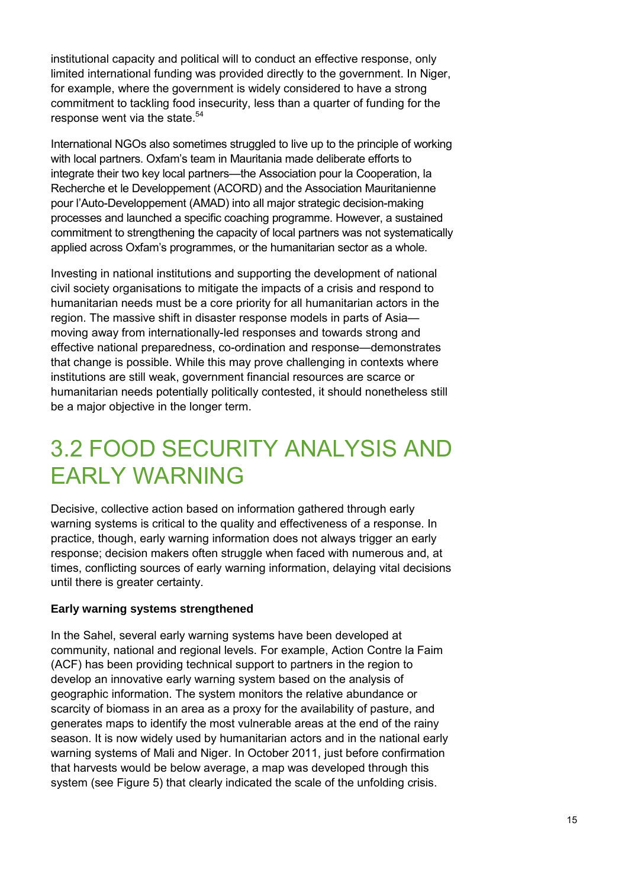institutional capacity and political will to conduct an effective response, only limited international funding was provided directly to the government. In Niger, for example, where the government is widely considered to have a strong commitment to tackling food insecurity, less than a quarter of funding for the response went via the state.<sup>54</sup>

International NGOs also sometimes struggled to live up to the principle of working with local partners. Oxfam's team in Mauritania made deliberate efforts to integrate their two key local partners—the Association pour la Cooperation, la Recherche et le Developpement (ACORD) and the Association Mauritanienne pour l'Auto-Developpement (AMAD) into all major strategic decision-making processes and launched a specific coaching programme. However, a sustained commitment to strengthening the capacity of local partners was not systematically applied across Oxfam's programmes, or the humanitarian sector as a whole.

Investing in national institutions and supporting the development of national civil society organisations to mitigate the impacts of a crisis and respond to humanitarian needs must be a core priority for all humanitarian actors in the region. The massive shift in disaster response models in parts of Asia moving away from internationally-led responses and towards strong and effective national preparedness, co-ordination and response—demonstrates that change is possible. While this may prove challenging in contexts where institutions are still weak, government financial resources are scarce or humanitarian needs potentially politically contested, it should nonetheless still be a major objective in the longer term.

### 3.2 FOOD SECURITY ANALYSIS AND EARLY WARNING

Decisive, collective action based on information gathered through early warning systems is critical to the quality and effectiveness of a response. In practice, though, early warning information does not always trigger an early response; decision makers often struggle when faced with numerous and, at times, conflicting sources of early warning information, delaying vital decisions until there is greater certainty.

#### **Early warning systems strengthened**

In the Sahel, several early warning systems have been developed at community, national and regional levels. For example, Action Contre la Faim (ACF) has been providing technical support to partners in the region to develop an innovative early warning system based on the analysis of geographic information. The system monitors the relative abundance or scarcity of biomass in an area as a proxy for the availability of pasture, and generates maps to identify the most vulnerable areas at the end of the rainy season. It is now widely used by humanitarian actors and in the national early warning systems of Mali and Niger. In October 2011, just before confirmation that harvests would be below average, a map was developed through this system (see Figure 5) that clearly indicated the scale of the unfolding crisis.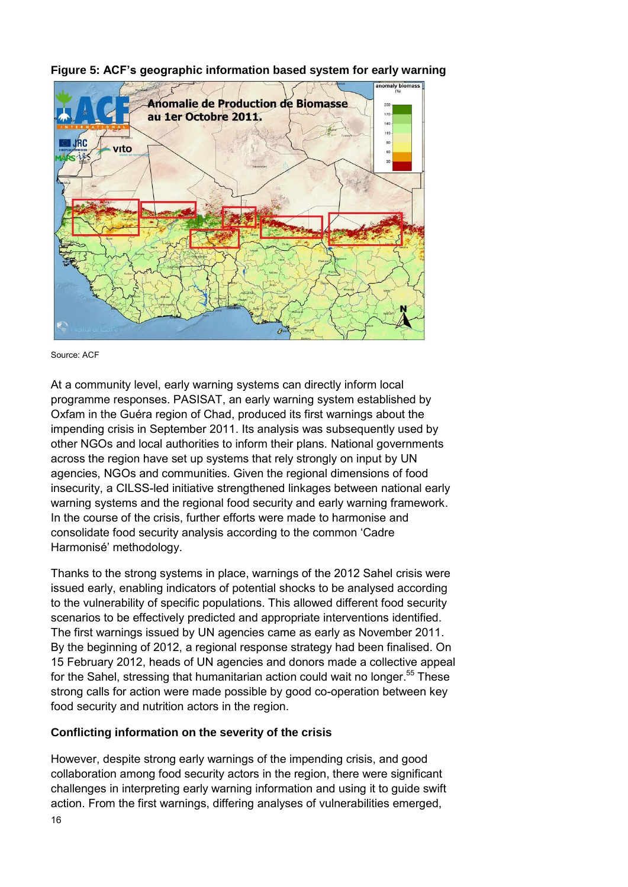

**Figure 5: ACF's geographic information based system for early warning** 

At a community level, early warning systems can directly inform local programme responses. PASISAT, an early warning system established by Oxfam in the Guéra region of Chad, produced its first warnings about the impending crisis in September 2011. Its analysis was subsequently used by other NGOs and local authorities to inform their plans. National governments across the region have set up systems that rely strongly on input by UN agencies, NGOs and communities. Given the regional dimensions of food insecurity, a CILSS-led initiative strengthened linkages between national early warning systems and the regional food security and early warning framework. In the course of the crisis, further efforts were made to harmonise and consolidate food security analysis according to the common 'Cadre Harmonisé' methodology.

Thanks to the strong systems in place, warnings of the 2012 Sahel crisis were issued early, enabling indicators of potential shocks to be analysed according to the vulnerability of specific populations. This allowed different food security scenarios to be effectively predicted and appropriate interventions identified. The first warnings issued by UN agencies came as early as November 2011. By the beginning of 2012, a regional response strategy had been finalised. On 15 February 2012, heads of UN agencies and donors made a collective appeal for the Sahel, stressing that humanitarian action could wait no longer.<sup>55</sup> These strong calls for action were made possible by good co-operation between key food security and nutrition actors in the region.

#### **Conflicting information on the severity of the crisis**

However, despite strong early warnings of the impending crisis, and good collaboration among food security actors in the region, there were significant challenges in interpreting early warning information and using it to guide swift action. From the first warnings, differing analyses of vulnerabilities emerged,

Source: ACF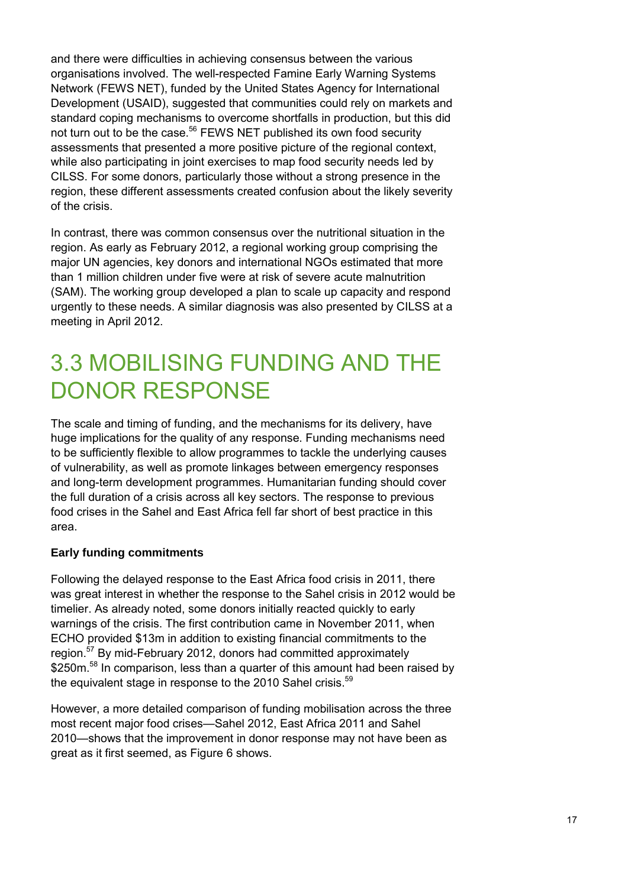and there were difficulties in achieving consensus between the various organisations involved. The well-respected Famine Early Warning Systems Network (FEWS NET), funded by the United States Agency for International Development (USAID), suggested that communities could rely on markets and standard coping mechanisms to overcome shortfalls in production, but this did not turn out to be the case.<sup>56</sup> FEWS NET published its own food security assessments that presented a more positive picture of the regional context, while also participating in joint exercises to map food security needs led by CILSS. For some donors, particularly those without a strong presence in the region, these different assessments created confusion about the likely severity of the crisis.

In contrast, there was common consensus over the nutritional situation in the region. As early as February 2012, a regional working group comprising the major UN agencies, key donors and international NGOs estimated that more than 1 million children under five were at risk of severe acute malnutrition (SAM). The working group developed a plan to scale up capacity and respond urgently to these needs. A similar diagnosis was also presented by CILSS at a meeting in April 2012.

### 3.3 MOBILISING FUNDING AND THE DONOR RESPONSE

The scale and timing of funding, and the mechanisms for its delivery, have huge implications for the quality of any response. Funding mechanisms need to be sufficiently flexible to allow programmes to tackle the underlying causes of vulnerability, as well as promote linkages between emergency responses and long-term development programmes. Humanitarian funding should cover the full duration of a crisis across all key sectors. The response to previous food crises in the Sahel and East Africa fell far short of best practice in this area.

#### **Early funding commitments**

Following the delayed response to the East Africa food crisis in 2011, there was great interest in whether the response to the Sahel crisis in 2012 would be timelier. As already noted, some donors initially reacted quickly to early warnings of the crisis. The first contribution came in November 2011, when ECHO provided \$13m in addition to existing financial commitments to the region.<sup>57</sup> By mid-February 2012, donors had committed approximately \$250m.<sup>58</sup> In comparison, less than a quarter of this amount had been raised by the equivalent stage in response to the 2010 Sahel crisis.<sup>59</sup>

However, a more detailed comparison of funding mobilisation across the three most recent major food crises—Sahel 2012, East Africa 2011 and Sahel 2010—shows that the improvement in donor response may not have been as great as it first seemed, as Figure 6 shows.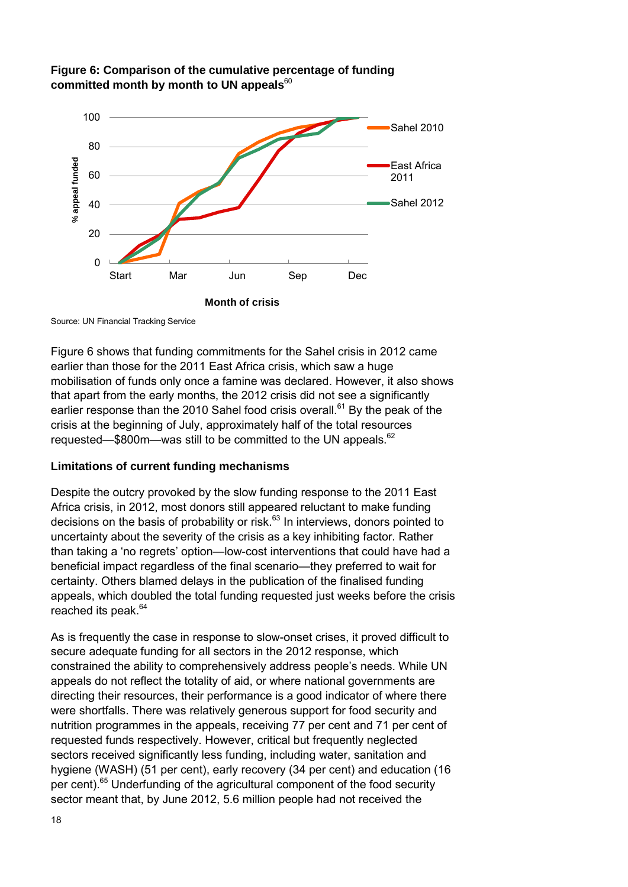



Source: UN Financial Tracking Service

Figure 6 shows that funding commitments for the Sahel crisis in 2012 came earlier than those for the 2011 East Africa crisis, which saw a huge mobilisation of funds only once a famine was declared. However, it also shows that apart from the early months, the 2012 crisis did not see a significantly earlier response than the 2010 Sahel food crisis overall.<sup>61</sup> By the peak of the crisis at the beginning of July, approximately half of the total resources requested—\$800m—was still to be committed to the UN appeals.<sup>62</sup>

#### **Limitations of current funding mechanisms**

Despite the outcry provoked by the slow funding response to the 2011 East Africa crisis, in 2012, most donors still appeared reluctant to make funding decisions on the basis of probability or risk. $63$  In interviews, donors pointed to uncertainty about the severity of the crisis as a key inhibiting factor. Rather than taking a 'no regrets' option—low-cost interventions that could have had a beneficial impact regardless of the final scenario—they preferred to wait for certainty. Others blamed delays in the publication of the finalised funding appeals, which doubled the total funding requested just weeks before the crisis reached its peak.<sup>64</sup>

As is frequently the case in response to slow-onset crises, it proved difficult to secure adequate funding for all sectors in the 2012 response, which constrained the ability to comprehensively address people's needs. While UN appeals do not reflect the totality of aid, or where national governments are directing their resources, their performance is a good indicator of where there were shortfalls. There was relatively generous support for food security and nutrition programmes in the appeals, receiving 77 per cent and 71 per cent of requested funds respectively. However, critical but frequently neglected sectors received significantly less funding, including water, sanitation and hygiene (WASH) (51 per cent), early recovery (34 per cent) and education (16 per cent).<sup>65</sup> Underfunding of the agricultural component of the food security sector meant that, by June 2012, 5.6 million people had not received the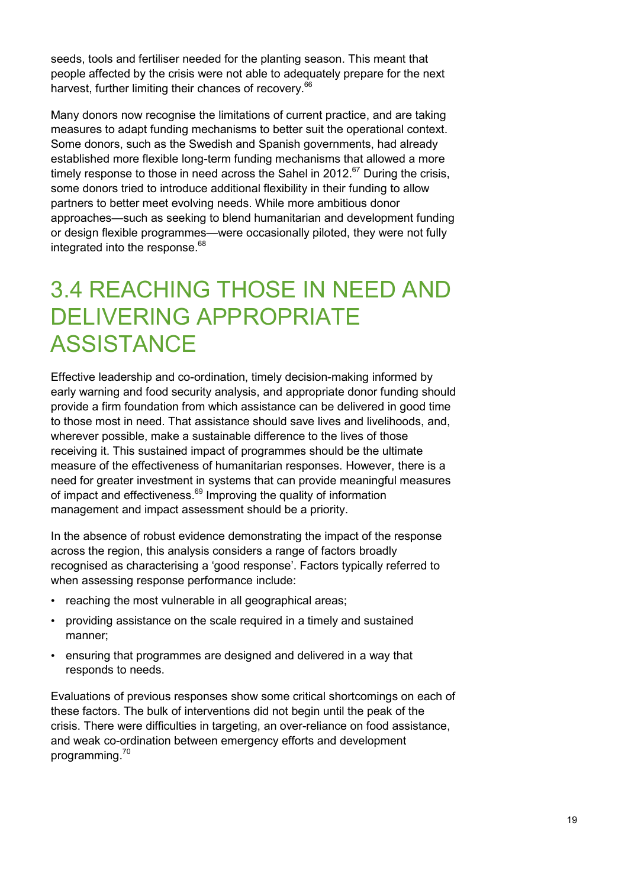seeds, tools and fertiliser needed for the planting season. This meant that people affected by the crisis were not able to adequately prepare for the next harvest, further limiting their chances of recovery.<sup>66</sup>

Many donors now recognise the limitations of current practice, and are taking measures to adapt funding mechanisms to better suit the operational context. Some donors, such as the Swedish and Spanish governments, had already established more flexible long-term funding mechanisms that allowed a more timely response to those in need across the Sahel in 2012. $67$  During the crisis, some donors tried to introduce additional flexibility in their funding to allow partners to better meet evolving needs. While more ambitious donor approaches—such as seeking to blend humanitarian and development funding or design flexible programmes—were occasionally piloted, they were not fully integrated into the response. $68$ 

### 3.4 REACHING THOSE IN NEED AND DELIVERING APPROPRIATE **ASSISTANCE**

Effective leadership and co-ordination, timely decision-making informed by early warning and food security analysis, and appropriate donor funding should provide a firm foundation from which assistance can be delivered in good time to those most in need. That assistance should save lives and livelihoods, and, wherever possible, make a sustainable difference to the lives of those receiving it. This sustained impact of programmes should be the ultimate measure of the effectiveness of humanitarian responses. However, there is a need for greater investment in systems that can provide meaningful measures of impact and effectiveness.<sup>69</sup> Improving the quality of information management and impact assessment should be a priority.

In the absence of robust evidence demonstrating the impact of the response across the region, this analysis considers a range of factors broadly recognised as characterising a 'good response'. Factors typically referred to when assessing response performance include:

- reaching the most vulnerable in all geographical areas;
- providing assistance on the scale required in a timely and sustained manner;
- ensuring that programmes are designed and delivered in a way that responds to needs.

Evaluations of previous responses show some critical shortcomings on each of these factors. The bulk of interventions did not begin until the peak of the crisis. There were difficulties in targeting, an over-reliance on food assistance, and weak co-ordination between emergency efforts and development programming.<sup>70</sup>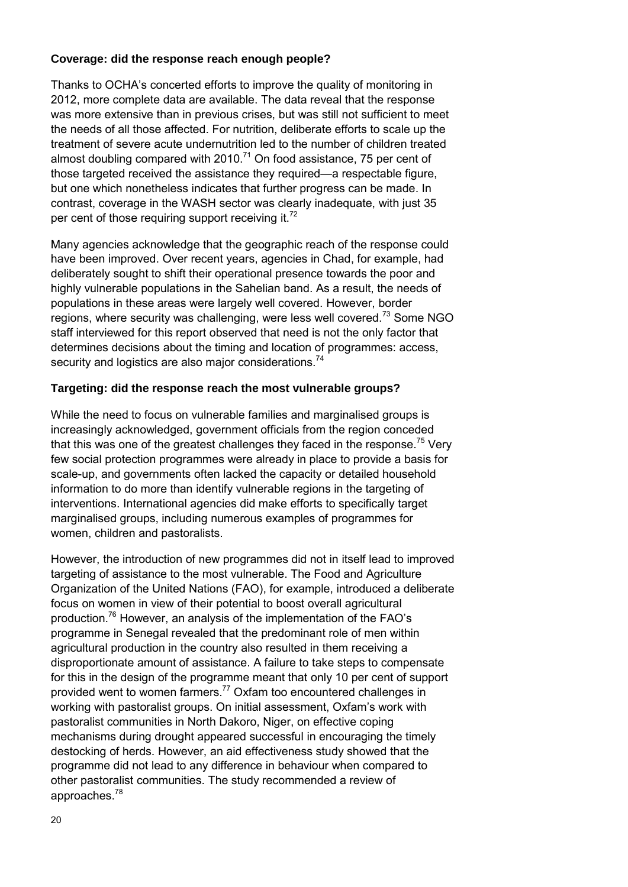#### **Coverage: did the response reach enough people?**

Thanks to OCHA's concerted efforts to improve the quality of monitoring in 2012, more complete data are available. The data reveal that the response was more extensive than in previous crises, but was still not sufficient to meet the needs of all those affected. For nutrition, deliberate efforts to scale up the treatment of severe acute undernutrition led to the number of children treated almost doubling compared with 2010.<sup>71</sup> On food assistance, 75 per cent of those targeted received the assistance they required—a respectable figure, but one which nonetheless indicates that further progress can be made. In contrast, coverage in the WASH sector was clearly inadequate, with just 35 per cent of those requiring support receiving it.<sup>72</sup>

Many agencies acknowledge that the geographic reach of the response could have been improved. Over recent years, agencies in Chad, for example, had deliberately sought to shift their operational presence towards the poor and highly vulnerable populations in the Sahelian band. As a result, the needs of populations in these areas were largely well covered. However, border regions, where security was challenging, were less well covered.<sup>73</sup> Some NGO staff interviewed for this report observed that need is not the only factor that determines decisions about the timing and location of programmes: access, security and logistics are also major considerations.<sup>74</sup>

#### **Targeting: did the response reach the most vulnerable groups?**

While the need to focus on vulnerable families and marginalised groups is increasingly acknowledged, government officials from the region conceded that this was one of the greatest challenges they faced in the response.<sup>75</sup> Very few social protection programmes were already in place to provide a basis for scale-up, and governments often lacked the capacity or detailed household information to do more than identify vulnerable regions in the targeting of interventions. International agencies did make efforts to specifically target marginalised groups, including numerous examples of programmes for women, children and pastoralists.

However, the introduction of new programmes did not in itself lead to improved targeting of assistance to the most vulnerable. The Food and Agriculture Organization of the United Nations (FAO), for example, introduced a deliberate focus on women in view of their potential to boost overall agricultural production.<sup>76</sup> However, an analysis of the implementation of the FAO's programme in Senegal revealed that the predominant role of men within agricultural production in the country also resulted in them receiving a disproportionate amount of assistance. A failure to take steps to compensate for this in the design of the programme meant that only 10 per cent of support provided went to women farmers.<sup>77</sup> Oxfam too encountered challenges in working with pastoralist groups. On initial assessment, Oxfam's work with pastoralist communities in North Dakoro, Niger, on effective coping mechanisms during drought appeared successful in encouraging the timely destocking of herds. However, an aid effectiveness study showed that the programme did not lead to any difference in behaviour when compared to other pastoralist communities. The study recommended a review of approaches.<sup>78</sup>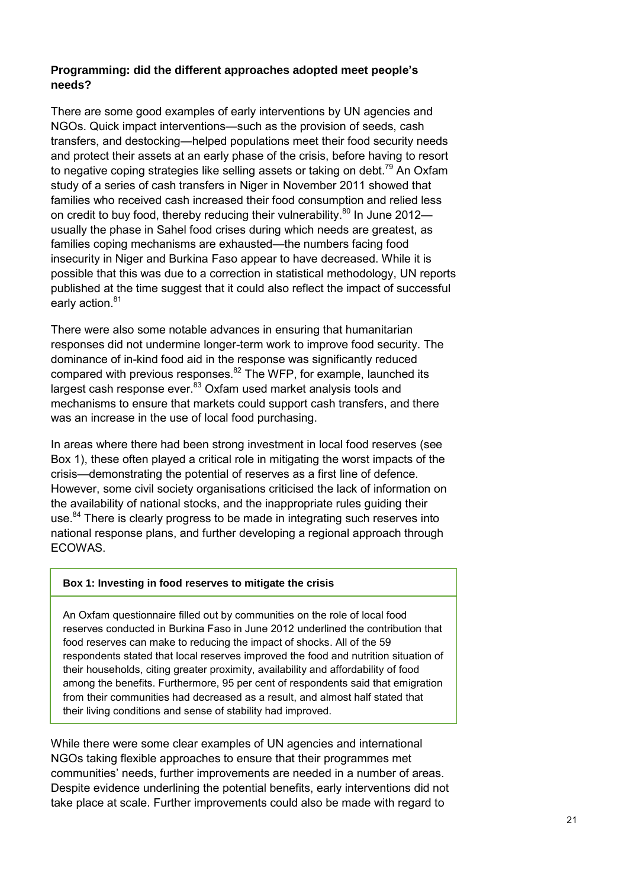#### **Programming: did the different approaches adopted meet people's needs?**

There are some good examples of early interventions by UN agencies and NGOs. Quick impact interventions—such as the provision of seeds, cash transfers, and destocking—helped populations meet their food security needs and protect their assets at an early phase of the crisis, before having to resort to negative coping strategies like selling assets or taking on debt.<sup>79</sup> An Oxfam study of a series of cash transfers in Niger in November 2011 showed that families who received cash increased their food consumption and relied less on credit to buy food, thereby reducing their vulnerability.<sup>80</sup> In June 2012 usually the phase in Sahel food crises during which needs are greatest, as families coping mechanisms are exhausted—the numbers facing food insecurity in Niger and Burkina Faso appear to have decreased. While it is possible that this was due to a correction in statistical methodology, UN reports published at the time suggest that it could also reflect the impact of successful early action.<sup>81</sup>

There were also some notable advances in ensuring that humanitarian responses did not undermine longer-term work to improve food security. The dominance of in-kind food aid in the response was significantly reduced compared with previous responses. $82$  The WFP, for example, launched its largest cash response ever.<sup>83</sup> Oxfam used market analysis tools and mechanisms to ensure that markets could support cash transfers, and there was an increase in the use of local food purchasing.

In areas where there had been strong investment in local food reserves (see Box 1), these often played a critical role in mitigating the worst impacts of the crisis—demonstrating the potential of reserves as a first line of defence. However, some civil society organisations criticised the lack of information on the availability of national stocks, and the inappropriate rules guiding their use.<sup>84</sup> There is clearly progress to be made in integrating such reserves into national response plans, and further developing a regional approach through ECOWAS.

#### **Box 1: Investing in food reserves to mitigate the crisis**

An Oxfam questionnaire filled out by communities on the role of local food reserves conducted in Burkina Faso in June 2012 underlined the contribution that food reserves can make to reducing the impact of shocks. All of the 59 respondents stated that local reserves improved the food and nutrition situation of their households, citing greater proximity, availability and affordability of food among the benefits. Furthermore, 95 per cent of respondents said that emigration from their communities had decreased as a result, and almost half stated that their living conditions and sense of stability had improved.

While there were some clear examples of UN agencies and international NGOs taking flexible approaches to ensure that their programmes met communities' needs, further improvements are needed in a number of areas. Despite evidence underlining the potential benefits, early interventions did not take place at scale. Further improvements could also be made with regard to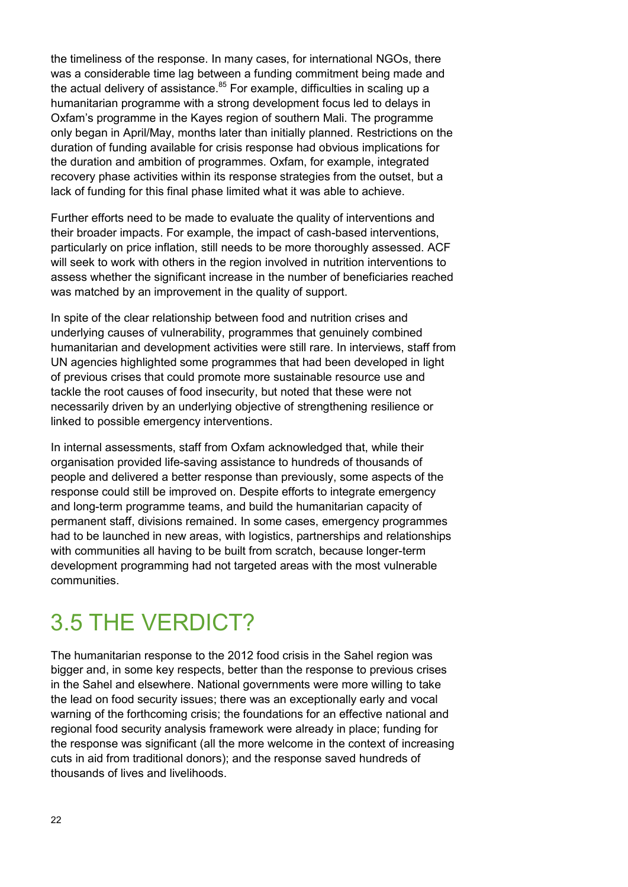the timeliness of the response. In many cases, for international NGOs, there was a considerable time lag between a funding commitment being made and the actual delivery of assistance.<sup>85</sup> For example, difficulties in scaling up a humanitarian programme with a strong development focus led to delays in Oxfam's programme in the Kayes region of southern Mali. The programme only began in April/May, months later than initially planned. Restrictions on the duration of funding available for crisis response had obvious implications for the duration and ambition of programmes. Oxfam, for example, integrated recovery phase activities within its response strategies from the outset, but a lack of funding for this final phase limited what it was able to achieve.

Further efforts need to be made to evaluate the quality of interventions and their broader impacts. For example, the impact of cash-based interventions, particularly on price inflation, still needs to be more thoroughly assessed. ACF will seek to work with others in the region involved in nutrition interventions to assess whether the significant increase in the number of beneficiaries reached was matched by an improvement in the quality of support.

In spite of the clear relationship between food and nutrition crises and underlying causes of vulnerability, programmes that genuinely combined humanitarian and development activities were still rare. In interviews, staff from UN agencies highlighted some programmes that had been developed in light of previous crises that could promote more sustainable resource use and tackle the root causes of food insecurity, but noted that these were not necessarily driven by an underlying objective of strengthening resilience or linked to possible emergency interventions.

In internal assessments, staff from Oxfam acknowledged that, while their organisation provided life-saving assistance to hundreds of thousands of people and delivered a better response than previously, some aspects of the response could still be improved on. Despite efforts to integrate emergency and long-term programme teams, and build the humanitarian capacity of permanent staff, divisions remained. In some cases, emergency programmes had to be launched in new areas, with logistics, partnerships and relationships with communities all having to be built from scratch, because longer-term development programming had not targeted areas with the most vulnerable communities.

### 3.5 THE VERDICT?

The humanitarian response to the 2012 food crisis in the Sahel region was bigger and, in some key respects, better than the response to previous crises in the Sahel and elsewhere. National governments were more willing to take the lead on food security issues; there was an exceptionally early and vocal warning of the forthcoming crisis; the foundations for an effective national and regional food security analysis framework were already in place; funding for the response was significant (all the more welcome in the context of increasing cuts in aid from traditional donors); and the response saved hundreds of thousands of lives and livelihoods.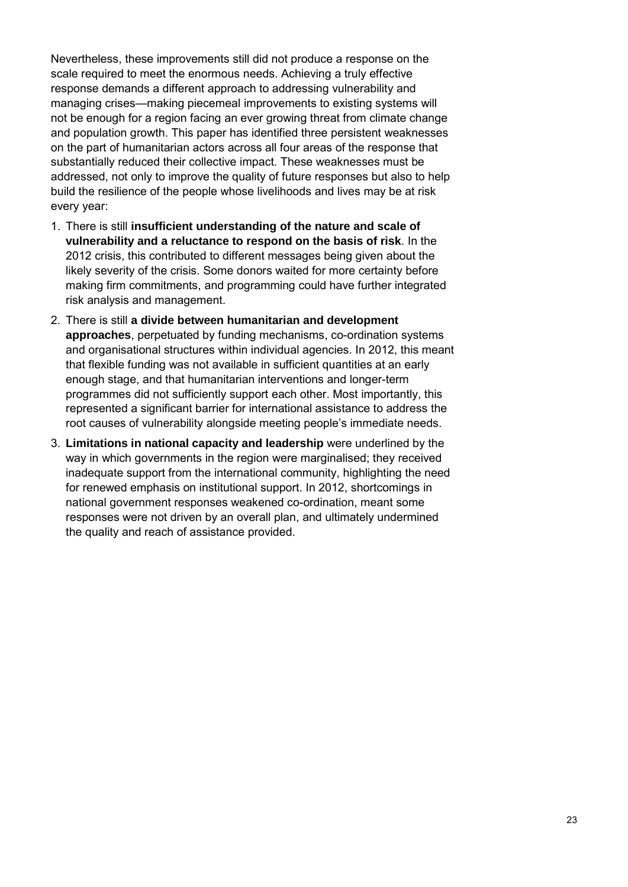Nevertheless, these improvements still did not produce a response on the scale required to meet the enormous needs. Achieving a truly effective response demands a different approach to addressing vulnerability and managing crises—making piecemeal improvements to existing systems will not be enough for a region facing an ever growing threat from climate change and population growth. This paper has identified three persistent weaknesses on the part of humanitarian actors across all four areas of the response that substantially reduced their collective impact. These weaknesses must be addressed, not only to improve the quality of future responses but also to help build the resilience of the people whose livelihoods and lives may be at risk every year:

- 1. There is still **insufficient understanding of the nature and scale of vulnerability and a reluctance to respond on the basis of risk**. In the 2012 crisis, this contributed to different messages being given about the likely severity of the crisis. Some donors waited for more certainty before making firm commitments, and programming could have further integrated risk analysis and management.
- 2. There is still **a divide between humanitarian and development approaches**, perpetuated by funding mechanisms, co-ordination systems and organisational structures within individual agencies. In 2012, this meant that flexible funding was not available in sufficient quantities at an early enough stage, and that humanitarian interventions and longer-term programmes did not sufficiently support each other. Most importantly, this represented a significant barrier for international assistance to address the root causes of vulnerability alongside meeting people's immediate needs.
- 3. **Limitations in national capacity and leadership** were underlined by the way in which governments in the region were marginalised; they received inadequate support from the international community, highlighting the need for renewed emphasis on institutional support. In 2012, shortcomings in national government responses weakened co-ordination, meant some responses were not driven by an overall plan, and ultimately undermined the quality and reach of assistance provided.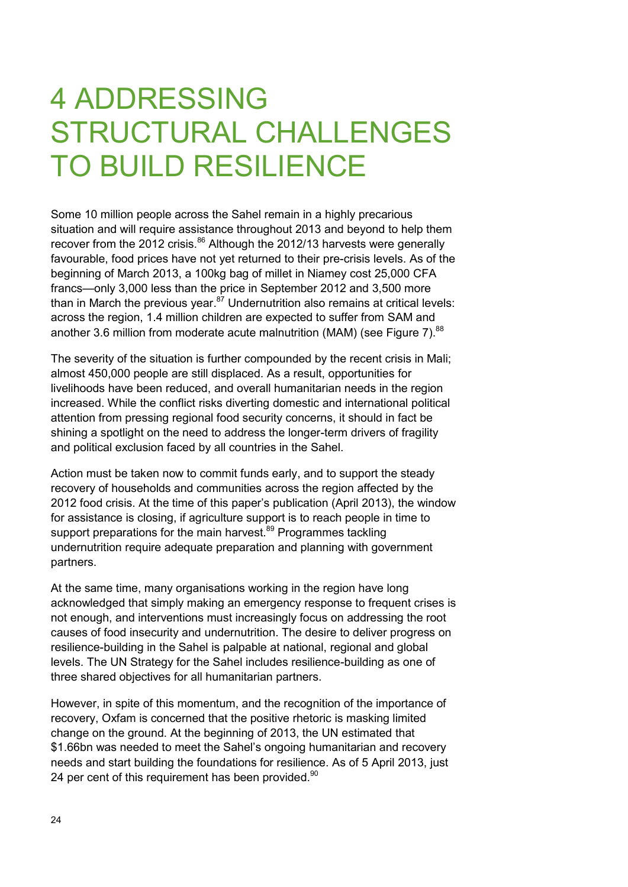# 4 ADDRESSING STRUCTURAL CHALLENGES TO BUILD RESILIENCE

Some 10 million people across the Sahel remain in a highly precarious situation and will require assistance throughout 2013 and beyond to help them recover from the 2012 crisis.<sup>86</sup> Although the 2012/13 harvests were generally favourable, food prices have not yet returned to their pre-crisis levels. As of the beginning of March 2013, a 100kg bag of millet in Niamey cost 25,000 CFA francs—only 3,000 less than the price in September 2012 and 3,500 more than in March the previous year. $87$  Undernutrition also remains at critical levels: across the region, 1.4 million children are expected to suffer from SAM and another 3.6 million from moderate acute malnutrition (MAM) (see Figure 7). $88$ 

The severity of the situation is further compounded by the recent crisis in Mali; almost 450,000 people are still displaced. As a result, opportunities for livelihoods have been reduced, and overall humanitarian needs in the region increased. While the conflict risks diverting domestic and international political attention from pressing regional food security concerns, it should in fact be shining a spotlight on the need to address the longer-term drivers of fragility and political exclusion faced by all countries in the Sahel.

Action must be taken now to commit funds early, and to support the steady recovery of households and communities across the region affected by the 2012 food crisis. At the time of this paper's publication (April 2013), the window for assistance is closing, if agriculture support is to reach people in time to support preparations for the main harvest.<sup>89</sup> Programmes tackling undernutrition require adequate preparation and planning with government partners.

At the same time, many organisations working in the region have long acknowledged that simply making an emergency response to frequent crises is not enough, and interventions must increasingly focus on addressing the root causes of food insecurity and undernutrition. The desire to deliver progress on resilience-building in the Sahel is palpable at national, regional and global levels. The UN Strategy for the Sahel includes resilience-building as one of three shared objectives for all humanitarian partners.

However, in spite of this momentum, and the recognition of the importance of recovery, Oxfam is concerned that the positive rhetoric is masking limited change on the ground. At the beginning of 2013, the UN estimated that \$1.66bn was needed to meet the Sahel's ongoing humanitarian and recovery needs and start building the foundations for resilience. As of 5 April 2013, just 24 per cent of this requirement has been provided.<sup>90</sup>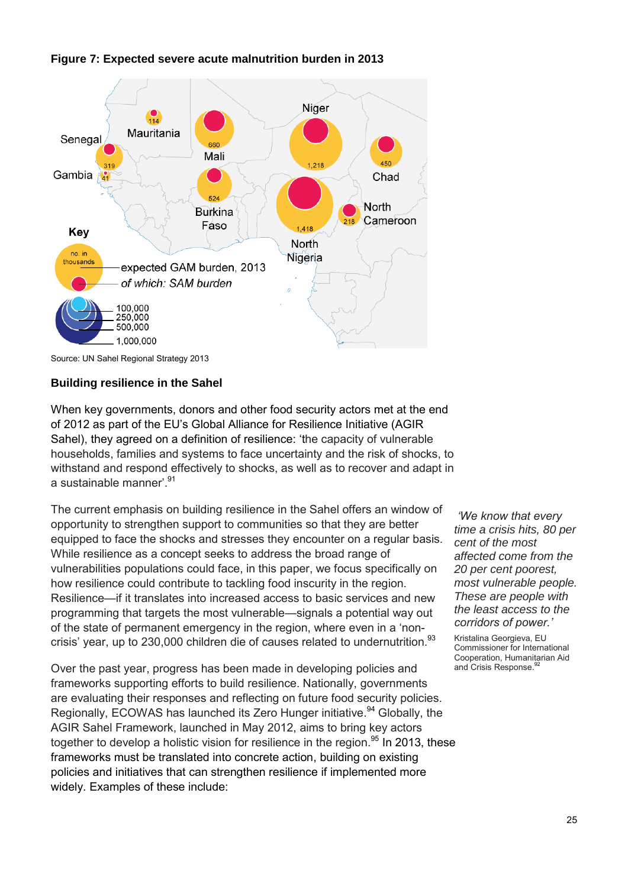

#### **Figure 7: Expected severe acute malnutrition burden in 2013**

Source: UN Sahel Regional Strategy 2013

#### **Building resilience in the Sahel**

When key governments, donors and other food security actors met at the end of 2012 as part of the EU's Global Alliance for Resilience Initiative (AGIR Sahel), they agreed on a definition of resilience: 'the capacity of vulnerable households, families and systems to face uncertainty and the risk of shocks, to withstand and respond effectively to shocks, as well as to recover and adapt in a sustainable manner<sup>' 91</sup>

The current emphasis on building resilience in the Sahel offers an window of opportunity to strengthen support to communities so that they are better equipped to face the shocks and stresses they encounter on a regular basis. While resilience as a concept seeks to address the broad range of vulnerabilities populations could face, in this paper, we focus specifically on how resilience could contribute to tackling food inscurity in the region. Resilience—if it translates into increased access to basic services and new programming that targets the most vulnerable—signals a potential way out of the state of permanent emergency in the region, where even in a 'noncrisis' year, up to 230,000 children die of causes related to undernutrition.<sup>93</sup>

Over the past year, progress has been made in developing policies and frameworks supporting efforts to build resilience. Nationally, governments are evaluating their responses and reflecting on future food security policies. Regionally, ECOWAS has launched its Zero Hunger initiative.<sup>94</sup> Globally, the AGIR Sahel Framework, launched in May 2012, aims to bring key actors together to develop a holistic vision for resilience in the region.<sup>95</sup> In 2013, these frameworks must be translated into concrete action, building on existing policies and initiatives that can strengthen resilience if implemented more widely. Examples of these include:

*'We know that every time a crisis hits, 80 per cent of the most affected come from the 20 per cent poorest, most vulnerable people. These are people with the least access to the corridors of power.'*

Kristalina Georgieva, EU Commissioner for International Cooperation, Humanitarian Aid<br>and Crisis Response.<sup>92</sup>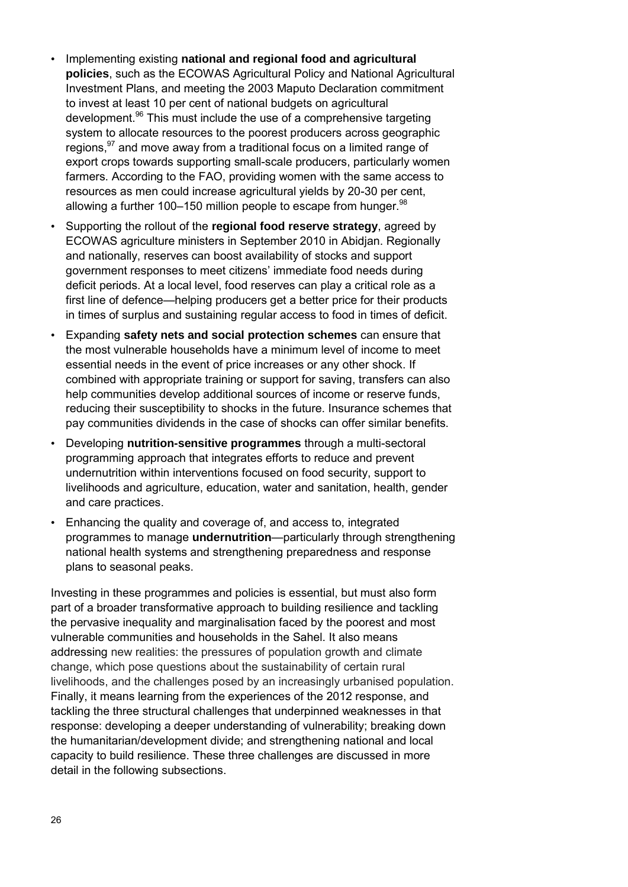- Implementing existing **national and regional food and agricultural policies**, such as the ECOWAS Agricultural Policy and National Agricultural Investment Plans, and meeting the 2003 Maputo Declaration commitment to invest at least 10 per cent of national budgets on agricultural development.<sup>96</sup> This must include the use of a comprehensive targeting system to allocate resources to the poorest producers across geographic regions, <sup>97</sup> and move away from a traditional focus on a limited range of export crops towards supporting small-scale producers, particularly women farmers. According to the FAO, providing women with the same access to resources as men could increase agricultural yields by 20-30 per cent, allowing a further 100–150 million people to escape from hunger. $98$
- Supporting the rollout of the **regional food reserve strategy**, agreed by ECOWAS agriculture ministers in September 2010 in Abidjan. Regionally and nationally, reserves can boost availability of stocks and support government responses to meet citizens' immediate food needs during deficit periods. At a local level, food reserves can play a critical role as a first line of defence—helping producers get a better price for their products in times of surplus and sustaining regular access to food in times of deficit.
- Expanding **safety nets and social protection schemes** can ensure that the most vulnerable households have a minimum level of income to meet essential needs in the event of price increases or any other shock. If combined with appropriate training or support for saving, transfers can also help communities develop additional sources of income or reserve funds, reducing their susceptibility to shocks in the future. Insurance schemes that pay communities dividends in the case of shocks can offer similar benefits.
- Developing **nutrition-sensitive programmes** through a multi-sectoral programming approach that integrates efforts to reduce and prevent undernutrition within interventions focused on food security, support to livelihoods and agriculture, education, water and sanitation, health, gender and care practices.
- Enhancing the quality and coverage of, and access to, integrated programmes to manage **undernutrition**—particularly through strengthening national health systems and strengthening preparedness and response plans to seasonal peaks.

Investing in these programmes and policies is essential, but must also form part of a broader transformative approach to building resilience and tackling the pervasive inequality and marginalisation faced by the poorest and most vulnerable communities and households in the Sahel. It also means addressing new realities: the pressures of population growth and climate change, which pose questions about the sustainability of certain rural livelihoods, and the challenges posed by an increasingly urbanised population. Finally, it means learning from the experiences of the 2012 response, and tackling the three structural challenges that underpinned weaknesses in that response: developing a deeper understanding of vulnerability; breaking down the humanitarian/development divide; and strengthening national and local capacity to build resilience. These three challenges are discussed in more detail in the following subsections.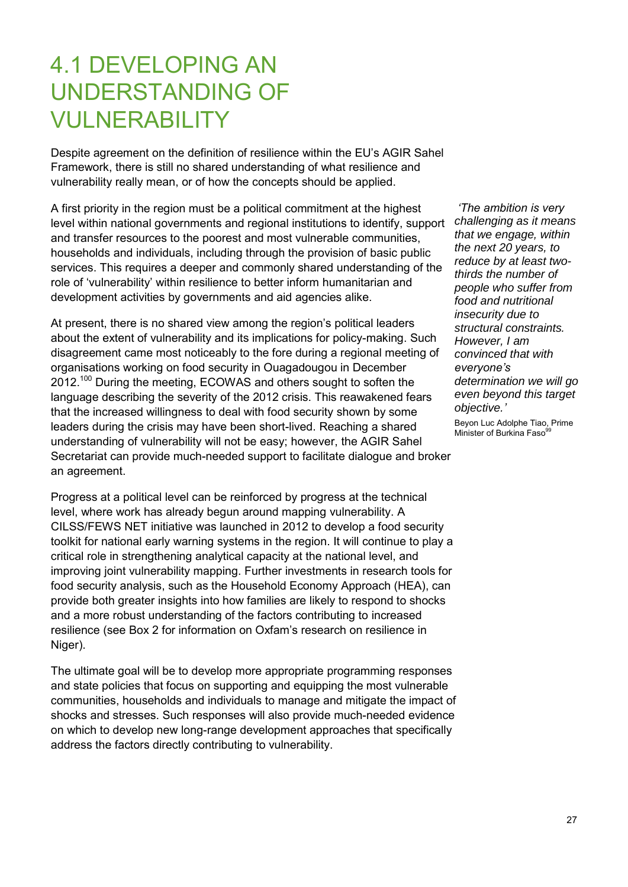### 4.1 DEVELOPING AN UNDERSTANDING OF VULNERABILITY

Despite agreement on the definition of resilience within the EU's AGIR Sahel Framework, there is still no shared understanding of what resilience and vulnerability really mean, or of how the concepts should be applied.

A first priority in the region must be a political commitment at the highest level within national governments and regional institutions to identify, support and transfer resources to the poorest and most vulnerable communities, households and individuals, including through the provision of basic public services. This requires a deeper and commonly shared understanding of the role of 'vulnerability' within resilience to better inform humanitarian and development activities by governments and aid agencies alike.

At present, there is no shared view among the region's political leaders about the extent of vulnerability and its implications for policy-making. Such disagreement came most noticeably to the fore during a regional meeting of organisations working on food security in Ouagadougou in December 2012.<sup>100</sup> During the meeting, ECOWAS and others sought to soften the language describing the severity of the 2012 crisis. This reawakened fears that the increased willingness to deal with food security shown by some leaders during the crisis may have been short-lived. Reaching a shared understanding of vulnerability will not be easy; however, the AGIR Sahel Secretariat can provide much-needed support to facilitate dialogue and broker an agreement.

Progress at a political level can be reinforced by progress at the technical level, where work has already begun around mapping vulnerability. A CILSS/FEWS NET initiative was launched in 2012 to develop a food security toolkit for national early warning systems in the region. It will continue to play a critical role in strengthening analytical capacity at the national level, and improving joint vulnerability mapping. Further investments in research tools for food security analysis, such as the Household Economy Approach (HEA), can provide both greater insights into how families are likely to respond to shocks and a more robust understanding of the factors contributing to increased resilience (see Box 2 for information on Oxfam's research on resilience in Niger).

The ultimate goal will be to develop more appropriate programming responses and state policies that focus on supporting and equipping the most vulnerable communities, households and individuals to manage and mitigate the impact of shocks and stresses. Such responses will also provide much-needed evidence on which to develop new long-range development approaches that specifically address the factors directly contributing to vulnerability.

*'The ambition is very challenging as it means that we engage, within the next 20 years, to reduce by at least twothirds the number of people who suffer from food and nutritional insecurity due to structural constraints. However, I am convinced that with everyone's determination we will go even beyond this target objective.'*

Beyon Luc Adolphe Tiao, Prime Minister of Burkina Faso<sup>9</sup>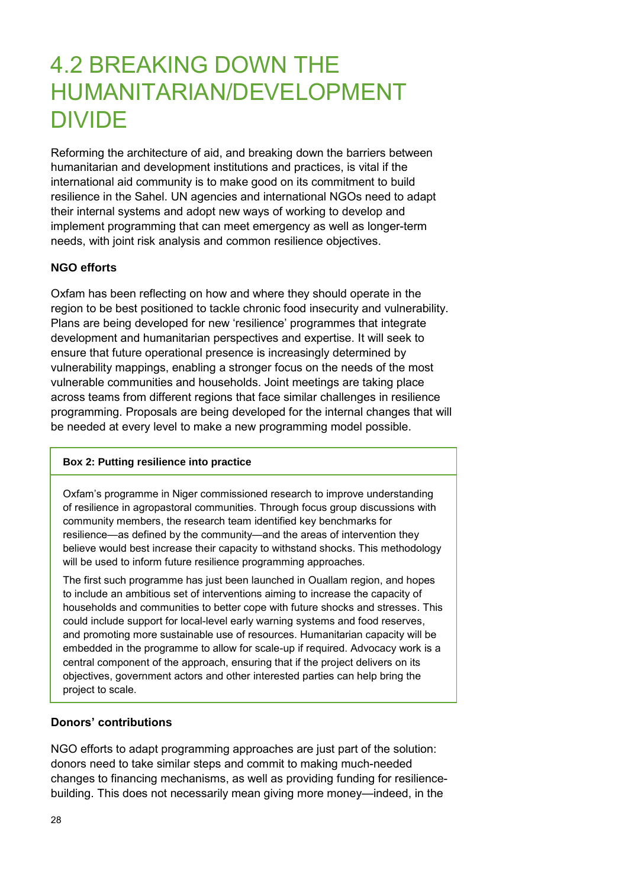### 4.2 BREAKING DOWN THE HUMANITARIAN/DEVELOPMENT DIVIDE

Reforming the architecture of aid, and breaking down the barriers between humanitarian and development institutions and practices, is vital if the international aid community is to make good on its commitment to build resilience in the Sahel. UN agencies and international NGOs need to adapt their internal systems and adopt new ways of working to develop and implement programming that can meet emergency as well as longer-term needs, with joint risk analysis and common resilience objectives.

#### **NGO efforts**

Oxfam has been reflecting on how and where they should operate in the region to be best positioned to tackle chronic food insecurity and vulnerability. Plans are being developed for new 'resilience' programmes that integrate development and humanitarian perspectives and expertise. It will seek to ensure that future operational presence is increasingly determined by vulnerability mappings, enabling a stronger focus on the needs of the most vulnerable communities and households. Joint meetings are taking place across teams from different regions that face similar challenges in resilience programming. Proposals are being developed for the internal changes that will be needed at every level to make a new programming model possible.

#### **Box 2: Putting resilience into practice**

Oxfam's programme in Niger commissioned research to improve understanding of resilience in agropastoral communities. Through focus group discussions with community members, the research team identified key benchmarks for resilience—as defined by the community—and the areas of intervention they believe would best increase their capacity to withstand shocks. This methodology will be used to inform future resilience programming approaches.

The first such programme has just been launched in Ouallam region, and hopes to include an ambitious set of interventions aiming to increase the capacity of households and communities to better cope with future shocks and stresses. This could include support for local-level early warning systems and food reserves, and promoting more sustainable use of resources. Humanitarian capacity will be embedded in the programme to allow for scale-up if required. Advocacy work is a central component of the approach, ensuring that if the project delivers on its objectives, government actors and other interested parties can help bring the project to scale.

#### **Donors' contributions**

NGO efforts to adapt programming approaches are just part of the solution: donors need to take similar steps and commit to making much-needed changes to financing mechanisms, as well as providing funding for resiliencebuilding. This does not necessarily mean giving more money—indeed, in the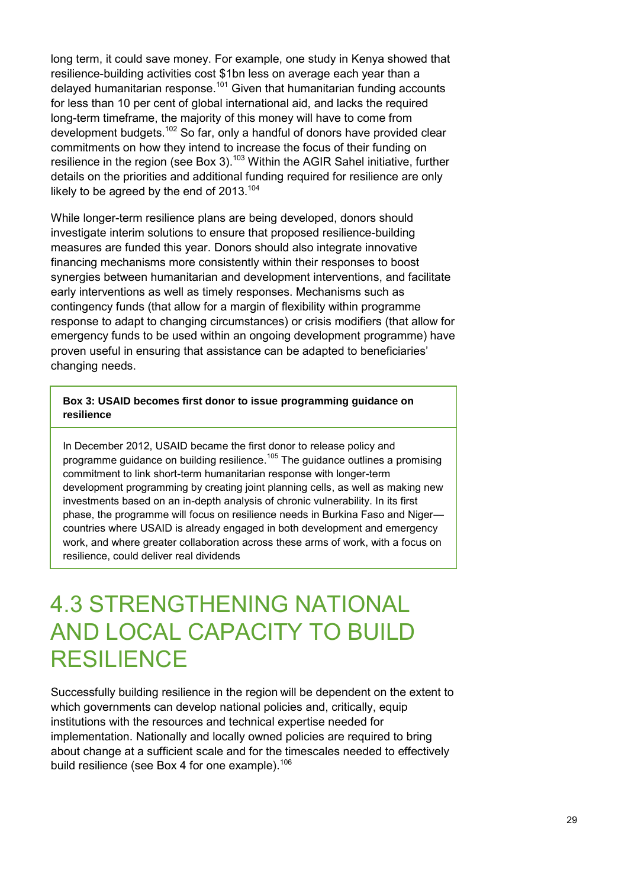long term, it could save money. For example, one study in Kenya showed that resilience-building activities cost \$1bn less on average each year than a delayed humanitarian response.<sup>101</sup> Given that humanitarian funding accounts for less than 10 per cent of global international aid, and lacks the required long-term timeframe, the majority of this money will have to come from development budgets.<sup>102</sup> So far, only a handful of donors have provided clear commitments on how they intend to increase the focus of their funding on resilience in the region (see Box 3).<sup>103</sup> Within the AGIR Sahel initiative, further details on the priorities and additional funding required for resilience are only likely to be agreed by the end of  $2013$ .<sup>104</sup>

While longer-term resilience plans are being developed, donors should investigate interim solutions to ensure that proposed resilience-building measures are funded this year. Donors should also integrate innovative financing mechanisms more consistently within their responses to boost synergies between humanitarian and development interventions, and facilitate early interventions as well as timely responses. Mechanisms such as contingency funds (that allow for a margin of flexibility within programme response to adapt to changing circumstances) or crisis modifiers (that allow for emergency funds to be used within an ongoing development programme) have proven useful in ensuring that assistance can be adapted to beneficiaries' changing needs.

#### **Box 3: USAID becomes first donor to issue programming guidance on resilience**

In December 2012, USAID became the first donor to release policy and programme guidance on building resilience.<sup>105</sup> The guidance outlines a promising commitment to link short-term humanitarian response with longer-term development programming by creating joint planning cells, as well as making new investments based on an in-depth analysis of chronic vulnerability. In its first phase, the programme will focus on resilience needs in Burkina Faso and Niger countries where USAID is already engaged in both development and emergency work, and where greater collaboration across these arms of work, with a focus on resilience, could deliver real dividends

### 4.3 STRENGTHENING NATIONAL AND LOCAL CAPACITY TO BUILD RESILIENCE

Successfully building resilience in the region will be dependent on the extent to which governments can develop national policies and, critically, equip institutions with the resources and technical expertise needed for implementation. Nationally and locally owned policies are required to bring about change at a sufficient scale and for the timescales needed to effectively build resilience (see Box 4 for one example). $106$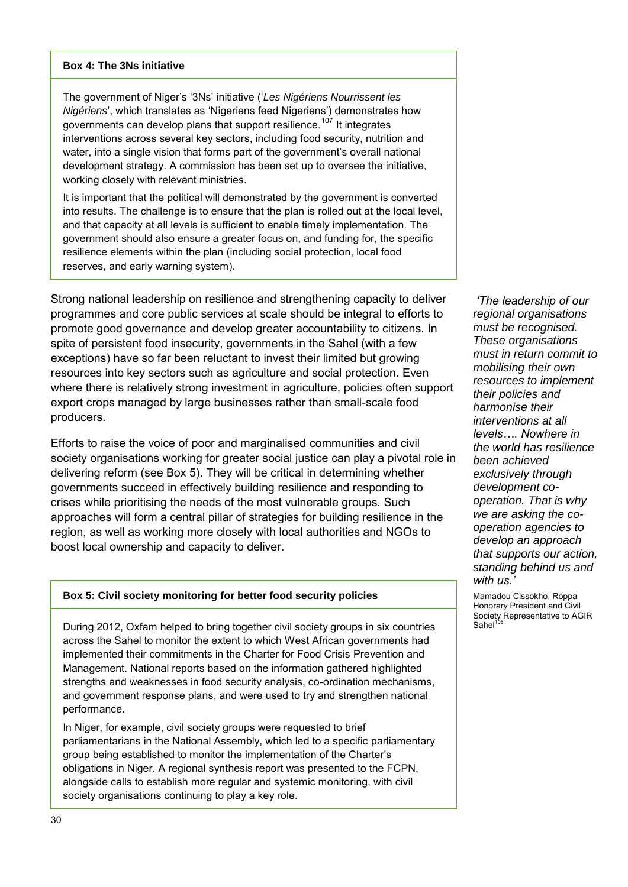#### **Box 4: The 3Ns initiative**

The government of Niger's '3Ns' initiative ('*Les Nigériens Nourrissent les Nigériens*', which translates as 'Nigeriens feed Nigeriens') demonstrates how governments can develop plans that support resilience.<sup>107</sup> It integrates interventions across several key sectors, including food security, nutrition and water, into a single vision that forms part of the government's overall national development strategy. A commission has been set up to oversee the initiative, working closely with relevant ministries.

It is important that the political will demonstrated by the government is converted into results. The challenge is to ensure that the plan is rolled out at the local level, and that capacity at all levels is sufficient to enable timely implementation. The government should also ensure a greater focus on, and funding for, the specific resilience elements within the plan (including social protection, local food reserves, and early warning system).

Strong national leadership on resilience and strengthening capacity to deliver programmes and core public services at scale should be integral to efforts to promote good governance and develop greater accountability to citizens. In spite of persistent food insecurity, governments in the Sahel (with a few exceptions) have so far been reluctant to invest their limited but growing resources into key sectors such as agriculture and social protection. Even where there is relatively strong investment in agriculture, policies often support export crops managed by large businesses rather than small-scale food producers.

Efforts to raise the voice of poor and marginalised communities and civil society organisations working for greater social justice can play a pivotal role in delivering reform (see Box 5). They will be critical in determining whether governments succeed in effectively building resilience and responding to crises while prioritising the needs of the most vulnerable groups. Such approaches will form a central pillar of strategies for building resilience in the region, as well as working more closely with local authorities and NGOs to boost local ownership and capacity to deliver.

#### **Box 5: Civil society monitoring for better food security policies**

During 2012, Oxfam helped to bring together civil society groups in six countries across the Sahel to monitor the extent to which West African governments had implemented their commitments in the Charter for Food Crisis Prevention and Management. National reports based on the information gathered highlighted strengths and weaknesses in food security analysis, co-ordination mechanisms, and government response plans, and were used to try and strengthen national performance.

In Niger, for example, civil society groups were requested to brief parliamentarians in the National Assembly, which led to a specific parliamentary group being established to monitor the implementation of the Charter's obligations in Niger. A regional synthesis report was presented to the FCPN, alongside calls to establish more regular and systemic monitoring, with civil society organisations continuing to play a key role.

*'The leadership of our regional organisations must be recognised. These organisations must in return commit to mobilising their own resources to implement their policies and harmonise their interventions at all levels…. Nowhere in the world has resilience been achieved exclusively through development cooperation. That is why we are asking the cooperation agencies to develop an approach that supports our action, standing behind us and with us.'*

Mamadou Cissokho, Roppa Honorary President and Civil Society Representative to AGIR Sahel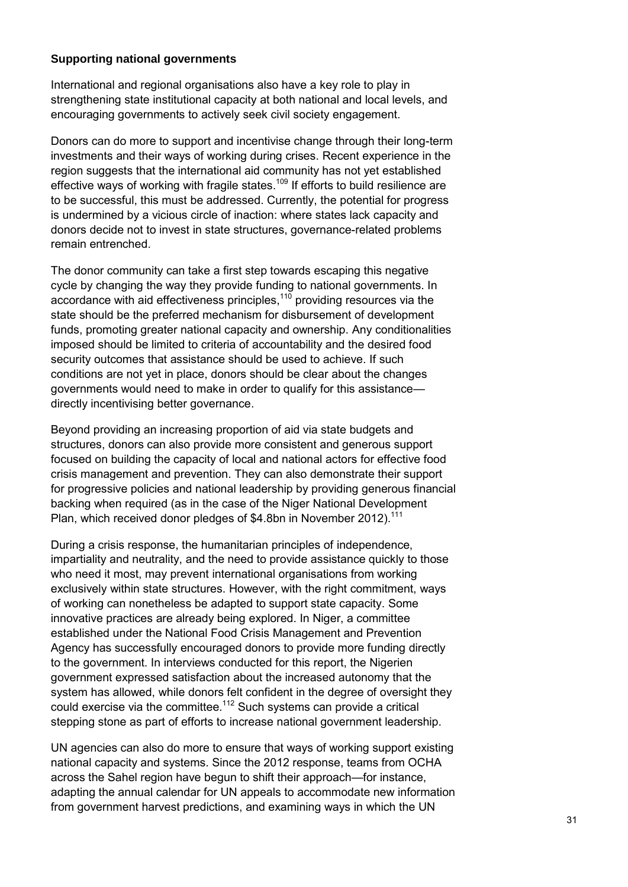#### **Supporting national governments**

International and regional organisations also have a key role to play in strengthening state institutional capacity at both national and local levels, and encouraging governments to actively seek civil society engagement.

Donors can do more to support and incentivise change through their long-term investments and their ways of working during crises. Recent experience in the region suggests that the international aid community has not yet established effective ways of working with fragile states.<sup>109</sup> If efforts to build resilience are to be successful, this must be addressed. Currently, the potential for progress is undermined by a vicious circle of inaction: where states lack capacity and donors decide not to invest in state structures, governance-related problems remain entrenched.

The donor community can take a first step towards escaping this negative cycle by changing the way they provide funding to national governments. In accordance with aid effectiveness principles, $110$  providing resources via the state should be the preferred mechanism for disbursement of development funds, promoting greater national capacity and ownership. Any conditionalities imposed should be limited to criteria of accountability and the desired food security outcomes that assistance should be used to achieve. If such conditions are not yet in place, donors should be clear about the changes governments would need to make in order to qualify for this assistance directly incentivising better governance.

Beyond providing an increasing proportion of aid via state budgets and structures, donors can also provide more consistent and generous support focused on building the capacity of local and national actors for effective food crisis management and prevention. They can also demonstrate their support for progressive policies and national leadership by providing generous financial backing when required (as in the case of the Niger National Development Plan, which received donor pledges of \$4.8bn in November 2012).<sup>111</sup>

During a crisis response, the humanitarian principles of independence, impartiality and neutrality, and the need to provide assistance quickly to those who need it most, may prevent international organisations from working exclusively within state structures. However, with the right commitment, ways of working can nonetheless be adapted to support state capacity. Some innovative practices are already being explored. In Niger, a committee established under the National Food Crisis Management and Prevention Agency has successfully encouraged donors to provide more funding directly to the government. In interviews conducted for this report, the Nigerien government expressed satisfaction about the increased autonomy that the system has allowed, while donors felt confident in the degree of oversight they could exercise via the committee.<sup>112</sup> Such systems can provide a critical stepping stone as part of efforts to increase national government leadership.

UN agencies can also do more to ensure that ways of working support existing national capacity and systems. Since the 2012 response, teams from OCHA across the Sahel region have begun to shift their approach—for instance, adapting the annual calendar for UN appeals to accommodate new information from government harvest predictions, and examining ways in which the UN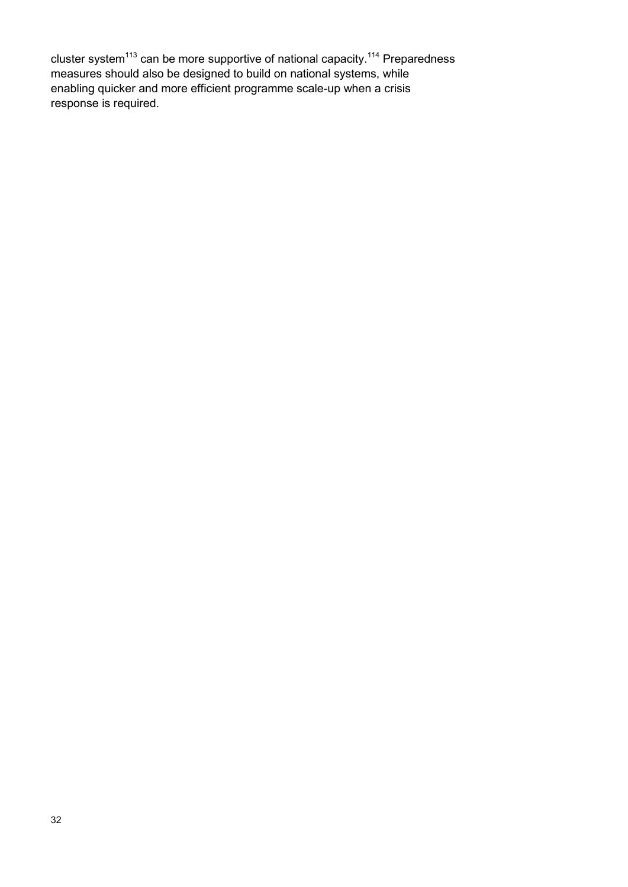cluster system<sup>113</sup> can be more supportive of national capacity.<sup>114</sup> Preparedness measures should also be designed to build on national systems, while enabling quicker and more efficient programme scale-up when a crisis response is required.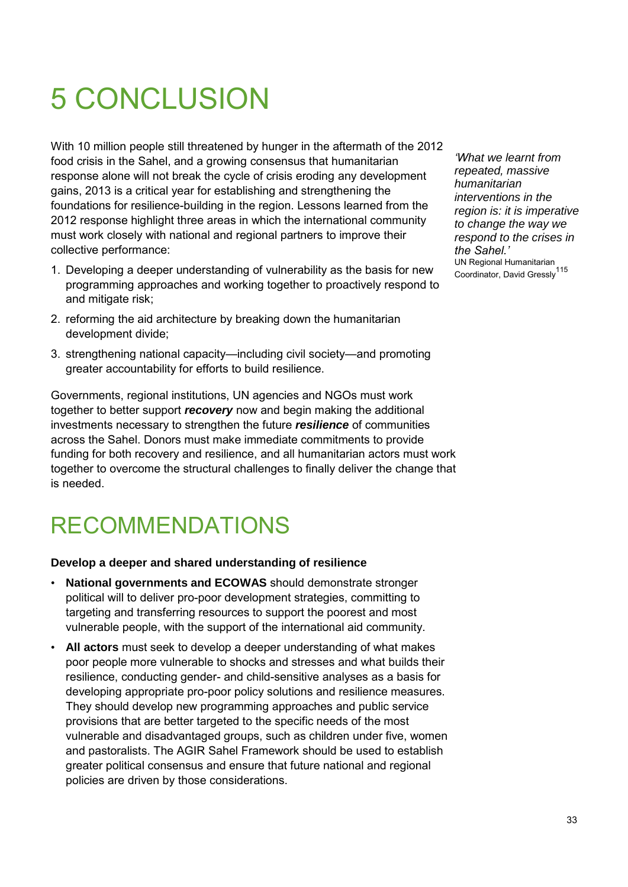# 5 CONCLUSION

With 10 million people still threatened by hunger in the aftermath of the 2012 food crisis in the Sahel, and a growing consensus that humanitarian response alone will not break the cycle of crisis eroding any development gains, 2013 is a critical year for establishing and strengthening the foundations for resilience-building in the region. Lessons learned from the 2012 response highlight three areas in which the international community must work closely with national and regional partners to improve their collective performance:

- 1. Developing a deeper understanding of vulnerability as the basis for new programming approaches and working together to proactively respond to and mitigate risk;
- 2. reforming the aid architecture by breaking down the humanitarian development divide;
- 3. strengthening national capacity—including civil society—and promoting greater accountability for efforts to build resilience.

Governments, regional institutions, UN agencies and NGOs must work together to better support *recovery* now and begin making the additional investments necessary to strengthen the future *resilience* of communities across the Sahel. Donors must make immediate commitments to provide funding for both recovery and resilience, and all humanitarian actors must work together to overcome the structural challenges to finally deliver the change that is needed.

### RECOMMENDATIONS

#### **Develop a deeper and shared understanding of resilience**

- **National governments and ECOWAS** should demonstrate stronger political will to deliver pro-poor development strategies, committing to targeting and transferring resources to support the poorest and most vulnerable people, with the support of the international aid community.
- **All actors** must seek to develop a deeper understanding of what makes poor people more vulnerable to shocks and stresses and what builds their resilience, conducting gender- and child-sensitive analyses as a basis for developing appropriate pro-poor policy solutions and resilience measures. They should develop new programming approaches and public service provisions that are better targeted to the specific needs of the most vulnerable and disadvantaged groups, such as children under five, women and pastoralists. The AGIR Sahel Framework should be used to establish greater political consensus and ensure that future national and regional policies are driven by those considerations.

*'What we learnt from repeated, massive humanitarian interventions in the region is: it is imperative to change the way we respond to the crises in the Sahel.'* UN Regional Humanitarian Coordinator, David Gressly<sup>115</sup>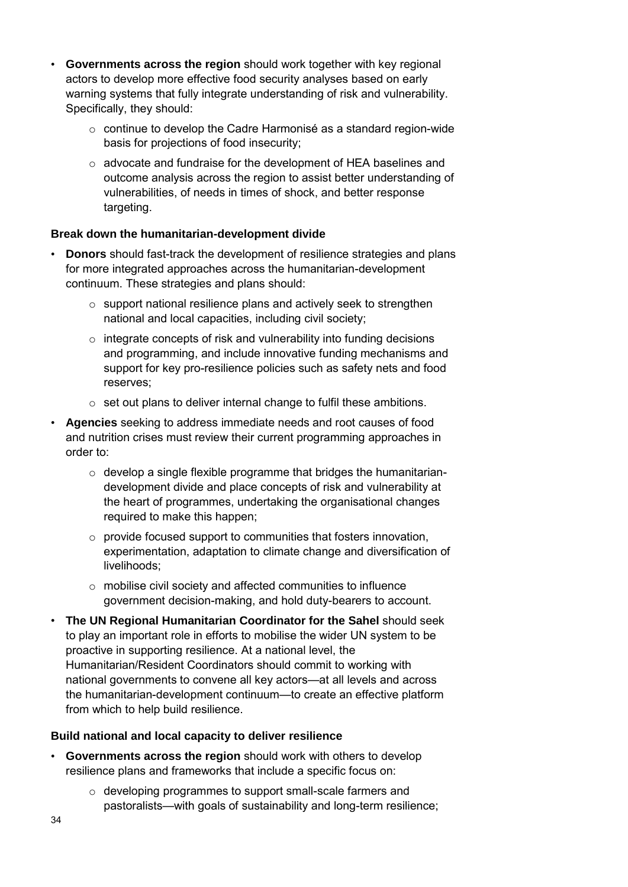- **Governments across the region** should work together with key regional actors to develop more effective food security analyses based on early warning systems that fully integrate understanding of risk and vulnerability. Specifically, they should:
	- o continue to develop the Cadre Harmonisé as a standard region-wide basis for projections of food insecurity;
	- o advocate and fundraise for the development of HEA baselines and outcome analysis across the region to assist better understanding of vulnerabilities, of needs in times of shock, and better response targeting.

#### **Break down the humanitarian-development divide**

- **Donors** should fast-track the development of resilience strategies and plans for more integrated approaches across the humanitarian-development continuum. These strategies and plans should:
	- $\circ$  support national resilience plans and actively seek to strengthen national and local capacities, including civil society;
	- o integrate concepts of risk and vulnerability into funding decisions and programming, and include innovative funding mechanisms and support for key pro-resilience policies such as safety nets and food reserves;
	- o set out plans to deliver internal change to fulfil these ambitions.
- **Agencies** seeking to address immediate needs and root causes of food and nutrition crises must review their current programming approaches in order to:
	- $\circ$  develop a single flexible programme that bridges the humanitariandevelopment divide and place concepts of risk and vulnerability at the heart of programmes, undertaking the organisational changes required to make this happen;
	- $\circ$  provide focused support to communities that fosters innovation, experimentation, adaptation to climate change and diversification of livelihoods;
	- o mobilise civil society and affected communities to influence government decision-making, and hold duty-bearers to account.
- **The UN Regional Humanitarian Coordinator for the Sahel** should seek to play an important role in efforts to mobilise the wider UN system to be proactive in supporting resilience. At a national level, the Humanitarian/Resident Coordinators should commit to working with national governments to convene all key actors—at all levels and across the humanitarian-development continuum—to create an effective platform from which to help build resilience.

#### **Build national and local capacity to deliver resilience**

- **Governments across the region** should work with others to develop resilience plans and frameworks that include a specific focus on:
	- o developing programmes to support small-scale farmers and pastoralists—with goals of sustainability and long-term resilience;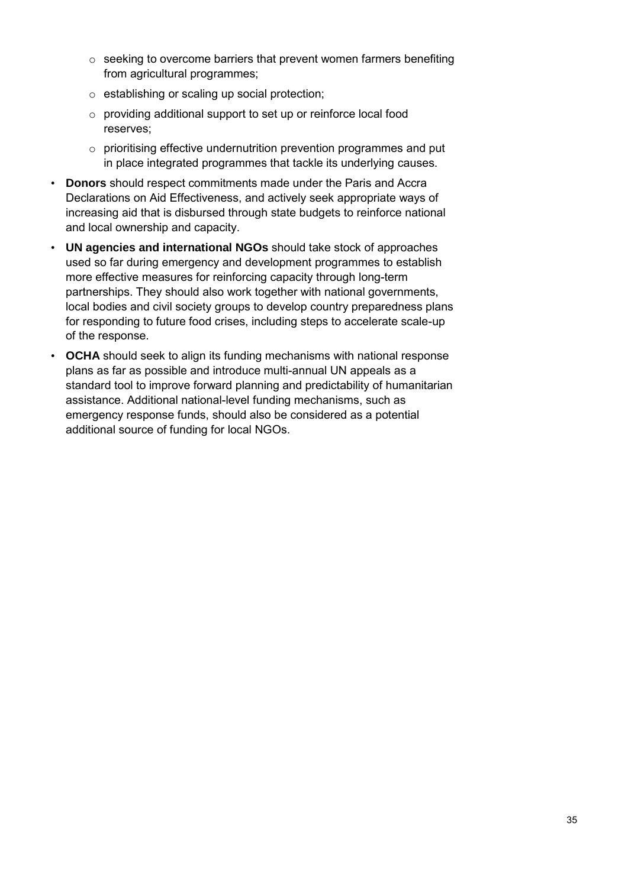- $\circ$  seeking to overcome barriers that prevent women farmers benefiting from agricultural programmes;
- o establishing or scaling up social protection;
- o providing additional support to set up or reinforce local food reserves;
- o prioritising effective undernutrition prevention programmes and put in place integrated programmes that tackle its underlying causes.
- **Donors** should respect commitments made under the Paris and Accra Declarations on Aid Effectiveness, and actively seek appropriate ways of increasing aid that is disbursed through state budgets to reinforce national and local ownership and capacity.
- **UN agencies and international NGOs** should take stock of approaches used so far during emergency and development programmes to establish more effective measures for reinforcing capacity through long-term partnerships. They should also work together with national governments, local bodies and civil society groups to develop country preparedness plans for responding to future food crises, including steps to accelerate scale-up of the response.
- **OCHA** should seek to align its funding mechanisms with national response plans as far as possible and introduce multi-annual UN appeals as a standard tool to improve forward planning and predictability of humanitarian assistance. Additional national-level funding mechanisms, such as emergency response funds, should also be considered as a potential additional source of funding for local NGOs.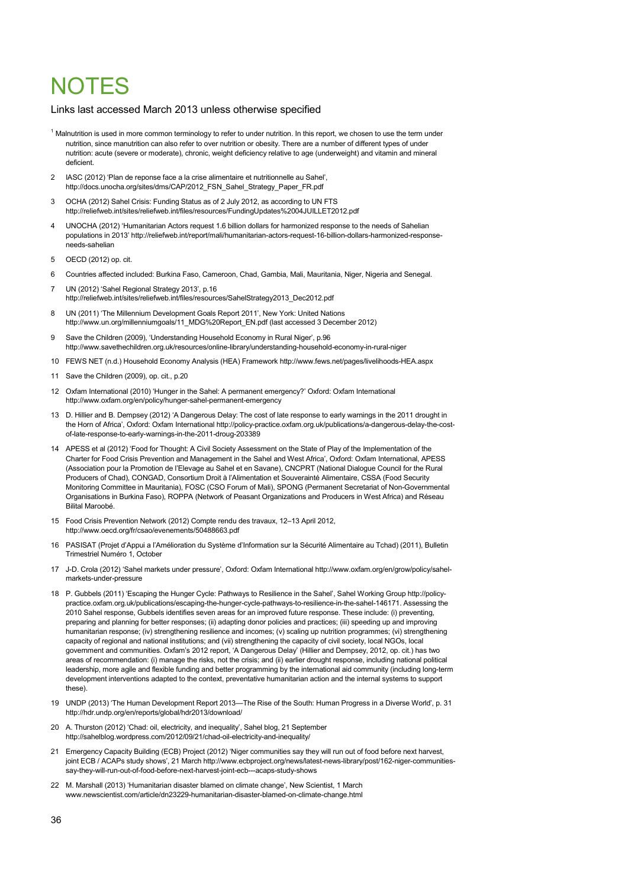### **NOTES**

#### Links last accessed March 2013 unless otherwise specified

- <sup>1</sup> Malnutrition is used in more common terminology to refer to under nutrition. In this report, we chosen to use the term under nutrition, since manutrition can also refer to over nutrition or obesity. There are a number of different types of under nutrition: acute (severe or moderate), chronic, weight deficiency relative to age (underweight) and vitamin and mineral deficient.
- 2 IASC (2012) 'Plan de reponse face a la crise alimentaire et nutritionnelle au Sahel', http://docs.unocha.org/sites/dms/CAP/2012\_FSN\_Sahel\_Strategy\_Paper\_FR.pdf
- 3 OCHA (2012) Sahel Crisis: Funding Status as of 2 July 2012, as according to UN FTS <http://reliefweb.int/sites/reliefweb.int/files/resources/FundingUpdates%2004JUILLET2012.pdf>
- 4 UNOCHA (2012) 'Humanitarian Actors request 1.6 billion dollars for harmonized response to the needs of Sahelian populations in 2013[' http://reliefweb.int/report/mali/humanitarian-actors-request-16-billion-dollars-harmonized-response](http://reliefweb.int/report/mali/humanitarian-actors-request-16-billion-dollars-harmonized-response-needs-sahelian)[needs-sahelian](http://reliefweb.int/report/mali/humanitarian-actors-request-16-billion-dollars-harmonized-response-needs-sahelian)
- 5 OECD (2012) op. cit.
- 6 Countries affected included: Burkina Faso, Cameroon, Chad, Gambia, Mali, Mauritania, Niger, Nigeria and Senegal.
- 7 UN (2012) 'Sahel Regional Strategy 2013', p.16 [http://reliefweb.int/sites/reliefweb.int/files/resources/SahelStrategy2013\\_Dec2012.pdf](http://reliefweb.int/sites/reliefweb.int/files/resources/SahelStrategy2013_Dec2012.pdf)
- UN (2011) 'The Millennium Development Goals Report 2011', New York: United Nations [http://www.un.org/millenniumgoals/11\\_MDG%20Report\\_EN.pdf \(](http://www.un.org/millenniumgoals/11_MDG%20Report_EN.pdf)last accessed 3 December 2012)
- 9 Save the Children (2009), 'Understanding Household Economy in Rural Niger', p.96 <http://www.savethechildren.org.uk/resources/online-library/understanding-household-economy-in-rural-niger>
- 10 FEWS NET (n.d.) Household Economy Analysis (HEA) Framewor[k http://www.fews.net/pages/livelihoods-HEA.aspx](http://www.fews.net/pages/livelihoods-HEA.aspx)
- 11 Save the Children (2009), op. cit., p.20
- 12 Oxfam International (2010) 'Hunger in the Sahel: A permanent emergency?' Oxford: Oxfam International <http://www.oxfam.org/en/policy/hunger-sahel-permanent-emergency>
- 13 D. Hillier and B. Dempsey (2012) 'A Dangerous Delay: The cost of late response to early warnings in the 2011 drought in the Horn of Africa', Oxford: Oxfam Internationa[l http://policy-practice.oxfam.org.uk/publications/a-dangerous-delay-the-cost](http://policy-practice.oxfam.org.uk/publications/a-dangerous-delay-the-cost-of-late-response-to-early-warnings-in-the-2011-droug-203389)[of-late-response-to-early-warnings-in-the-2011-droug-203389](http://policy-practice.oxfam.org.uk/publications/a-dangerous-delay-the-cost-of-late-response-to-early-warnings-in-the-2011-droug-203389)
- 14 APESS et al (2012) 'Food for Thought: A Civil Society Assessment on the State of Play of the Implementation of the Charter for Food Crisis Prevention and Management in the Sahel and West Africa', Oxford: Oxfam International, APESS (Association pour la Promotion de l'Elevage au Sahel et en Savane), CNCPRT (National Dialogue Council for the Rural Producers of Chad), CONGAD, Consortium Droit à l'Alimentation et Souverainté Alimentaire, CSSA (Food Security Monitoring Committee in Mauritania), FOSC (CSO Forum of Mali), SPONG (Permanent Secretariat of Non-Governmental Organisations in Burkina Faso), ROPPA (Network of Peasant Organizations and Producers in West Africa) and Réseau Bilital Maroobé.
- 15 Food Crisis Prevention Network (2012) Compte rendu des travaux, 12–13 April 2012, <http://www.oecd.org/fr/csao/evenements/50488663.pdf>
- 16 PASISAT (Projet d'Appui a l'Amélioration du Système d'Information sur la Sécurité Alimentaire au Tchad) (2011), Bulletin Trimestriel Numéro 1, October
- 17 J-D. Crola (2012) 'Sahel markets under pressure', Oxford: Oxfam Internationa[l http://www.oxfam.org/en/grow/policy/sahel](http://www.oxfam.org/en/grow/policy/sahel-markets-under-pressure)[markets-under-pressure](http://www.oxfam.org/en/grow/policy/sahel-markets-under-pressure)
- 18 P. Gubbels (2011) 'Escaping the Hunger Cycle: Pathways to Resilience in the Sahel', Sahel Working Grou[p http://policy](http://policy-practice.oxfam.org.uk/publications/escaping-the-hunger-cycle-pathways-to-resilience-in-the-sahel-146171)[practice.oxfam.org.uk/publications/escaping-the-hunger-cycle-pathways-to-resilience-in-the-sahel-146171.](http://policy-practice.oxfam.org.uk/publications/escaping-the-hunger-cycle-pathways-to-resilience-in-the-sahel-146171) Assessing the 2010 Sahel response, Gubbels identifies seven areas for an improved future response. These include: (i) preventing, preparing and planning for better responses; (ii) adapting donor policies and practices; (iii) speeding up and improving humanitarian response; (iv) strengthening resilience and incomes; (v) scaling up nutrition programmes; (vi) strengthening capacity of regional and national institutions; and (vii) strengthening the capacity of civil society, local NGOs, local government and communities. Oxfam's 2012 report, 'A Dangerous Delay' (Hillier and Dempsey, 2012, op. cit.) has two areas of recommendation: (i) manage the risks, not the crisis; and (ii) earlier drought response, including national political leadership, more agile and flexible funding and better programming by the international aid community (including long-term development interventions adapted to the context, preventative humanitarian action and the internal systems to support these).
- 19 UNDP (2013) 'The Human Development Report 2013—The Rise of the South: Human Progress in a Diverse World', p. 31 <http://hdr.undp.org/en/reports/global/hdr2013/download/>
- 20 A. Thurston (2012) 'Chad: oil, electricity, and inequality', Sahel blog, 21 September <http://sahelblog.wordpress.com/2012/09/21/chad-oil-electricity-and-inequality/>
- 21 Emergency Capacity Building (ECB) Project (2012) 'Niger communities say they will run out of food before next harvest, joint ECB / ACAPs study shows', 21 Marc[h http://www.ecbproject.org/news/latest-news-library/post/162-niger-communities](http://www.ecbproject.org/news/latest-news-library/post/162-niger-communities-say-they-will-run-out-of-food-before-next-harvest-joint-ecb---acaps-study-shows)[say-they-will-run-out-of-food-before-next-harvest-joint-ecb---acaps-study-shows](http://www.ecbproject.org/news/latest-news-library/post/162-niger-communities-say-they-will-run-out-of-food-before-next-harvest-joint-ecb---acaps-study-shows)
- 22 M. Marshall (2013) 'Humanitarian disaster blamed on climate change', New Scientist, 1 March [www.newscientist.com/article/dn23229-humanitarian-disaster-blamed-on-climate-change.html](http://www.newscientist.com/article/dn23229-humanitarian-disaster-blamed-on-climate-change.html)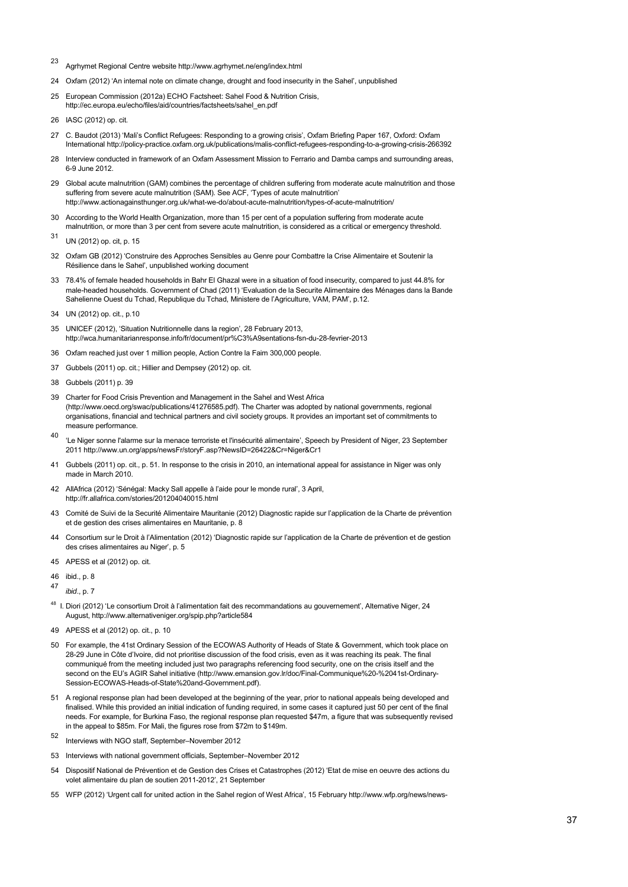- <sup>23</sup> Agrhymet Regional Centre websit[e http://www.agrhymet.ne/eng/index.html](http://www.agrhymet.ne/eng/index.html)
- 24 Oxfam (2012) 'An internal note on climate change, drought and food insecurity in the Sahel', unpublished
- 25 European Commission (2012a) ECHO Factsheet: Sahel Food & Nutrition Crisis, [http://ec.europa.eu/echo/files/aid/countries/factsheets/sahel\\_en.pdf](http://ec.europa.eu/echo/files/aid/countries/factsheets/sahel_en.pdf)
- 26 IASC (2012) op. cit.
- 27 C. Baudot (2013) 'Mali's Conflict Refugees: Responding to a growing crisis', Oxfam Briefing Paper 167, Oxford: Oxfam Internationa[l http://policy-practice.oxfam.org.uk/publications/malis-conflict-refugees-responding-to-a-growing-crisis-266392](http://policy-practice.oxfam.org.uk/publications/malis-conflict-refugees-responding-to-a-growing-crisis-266392)
- 28 Interview conducted in framework of an Oxfam Assessment Mission to Ferrario and Damba camps and surrounding areas, 6-9 June 2012.
- 29 Global acute malnutrition (GAM) combines the percentage of children suffering from moderate acute malnutrition and those suffering from severe acute malnutrition (SAM). See ACF, 'Types of acute malnutrition' <http://www.actionagainsthunger.org.uk/what-we-do/about-acute-malnutrition/types-of-acute-malnutrition/>
- 30 According to the World Health Organization, more than 15 per cent of a population suffering from moderate acute malnutrition, or more than 3 per cent from severe acute malnutrition, is considered as a critical or emergency threshold.
- <sup>31</sup> UN (2012) op. cit, p. 15
- 32 Oxfam GB (2012) 'Construire des Approches Sensibles au Genre pour Combattre la Crise Alimentaire et Soutenir la Résilience dans le Sahel', unpublished working document
- 33 78.4% of female headed households in Bahr El Ghazal were in a situation of food insecurity, compared to just 44.8% for male-headed households. Government of Chad (2011) 'Evaluation de la Securite Alimentaire des Ménages dans la Bande Sahelienne Ouest du Tchad, Republique du Tchad, Ministere de l'Agriculture, VAM, PAM', p.12.
- 34 UN (2012) op. cit., p.10
- 35 UNICEF (2012), 'Situation Nutritionnelle dans la region', 28 February 2013, <http://wca.humanitarianresponse.info/fr/document/pr%C3%A9sentations-fsn-du-28-fevrier-2013>
- 36 Oxfam reached just over 1 million people, Action Contre la Faim 300,000 people.
- 37 Gubbels (2011) op. cit.; Hillier and Dempsey (2012) op. cit.
- 38 Gubbels (2011) p. 39
- 39 Charter for Food Crisis Prevention and Management in the Sahel and West Africa [\(http://www.oecd.org/swac/publications/41276585.pdf\)](http://www.oecd.org/swac/publications/41276585.pdf). The Charter was adopted by national governments, regional organisations, financial and technical partners and civil society groups. It provides an important set of commitments to measure performance.
- <sup>40</sup> 'Le Niger sonne l'alarme sur la menace terroriste et l'insécurité alimentaire', Speech by President of Niger, 23 September 201[1 http://www.un.org/apps/newsFr/storyF.asp?NewsID=26422&Cr=Niger&Cr1](http://www.un.org/apps/newsFr/storyF.asp?NewsID=26422&Cr=Niger&Cr1%20)
- 41 Gubbels (2011) op. cit., p. 51. In response to the crisis in 2010, an international appeal for assistance in Niger was only made in March 2010.
- 42 AllAfrica (2012) 'Sénégal: Macky Sall appelle à l'aide pour le monde rural', 3 April, <http://fr.allafrica.com/stories/201204040015.html>
- 43 Comité de Suivi de la Securité Alimentaire Mauritanie (2012) Diagnostic rapide sur l'application de la Charte de prévention et de gestion des crises alimentaires en Mauritanie, p. 8
- 44 Consortium sur le Droit à l'Alimentation (2012) 'Diagnostic rapide sur l'application de la Charte de prévention et de gestion des crises alimentaires au Niger', p. 5
- 45 APESS et al (2012) op. cit.
- 46 ibid., p. 8
- 47 *ibid*., p. 7
- <sup>48</sup> I. Diori (2012) 'Le consortium Droit à l'alimentation fait des recommandations au gouvernement', Alternative Niger, 24 August, http://www.alternativeniger.org/spip.php?article584
- 49 APESS et al (2012) op. cit., p. 10
- 50 For example, the 41st Ordinary Session of the ECOWAS Authority of Heads of State & Government, which took place on 28-29 June in Côte d'Ivoire, did not prioritise discussion of the food crisis, even as it was reaching its peak. The final communiqué from the meeting included just two paragraphs referencing food security, one on the crisis itself and the second on the EU's AGIR Sahel initiative [\(http://www.emansion.gov.lr/doc/Final-Communique%20-%2041st-Ordinary-](http://www.emansion.gov.lr/doc/Final-Communique%20-%2041st-Ordinary-Session-ECOWAS-Heads-of-State%20and-Government.pdf)[Session-ECOWAS-Heads-of-State%20and-Government.pdf\).](http://www.emansion.gov.lr/doc/Final-Communique%20-%2041st-Ordinary-Session-ECOWAS-Heads-of-State%20and-Government.pdf)
- 51 A regional response plan had been developed at the beginning of the year, prior to national appeals being developed and finalised. While this provided an initial indication of funding required, in some cases it captured just 50 per cent of the final needs. For example, for Burkina Faso, the regional response plan requested \$47m, a figure that was subsequently revised in the appeal to \$85m. For Mali, the figures rose from \$72m to \$149m.
- <sup>52</sup> Interviews with NGO staff, September–November 2012
- 53 Interviews with national government officials, September–November 2012
- 54 Dispositif National de Prévention et de Gestion des Crises et Catastrophes (2012) 'Etat de mise en oeuvre des actions du volet alimentaire du plan de soutien 2011-2012', 21 September
- 55 WFP (2012) 'Urgent call for united action in the Sahel region of West Africa', 15 Februar[y http://www.wfp.org/news/news-](http://www.wfp.org/news/news-release/urgent-call-united-action-inthe-sahel-region-west-africa)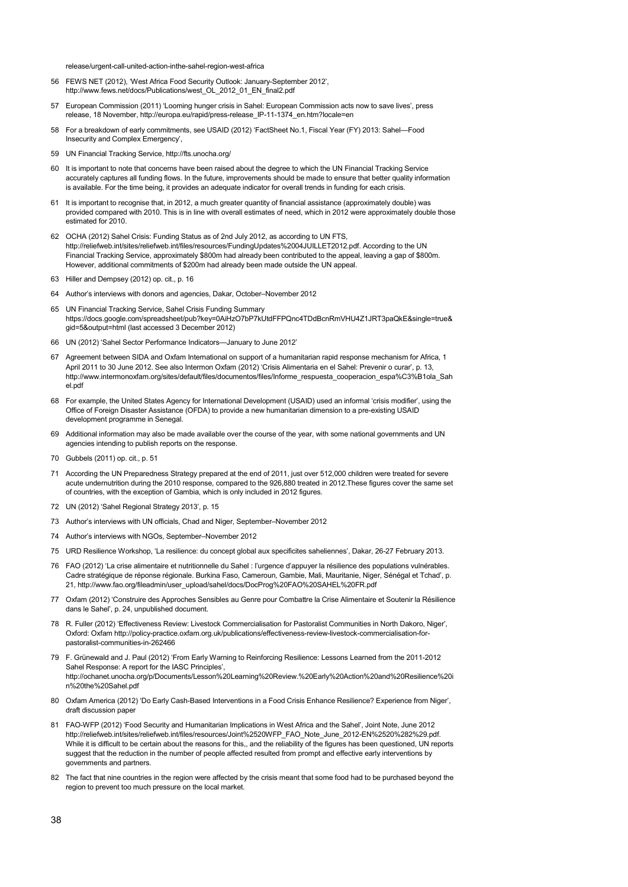release/urgent-call-united-action-inthe-sahel-region-west-africa

- 56 FEWS NET (2012), 'West Africa Food Security Outlook: January-September 2012', http://www.fews.net/docs/Publications/west\_OL\_2012\_01\_EN\_final2.pdf
- 57 European Commission (2011) 'Looming hunger crisis in Sahel: European Commission acts now to save lives', press release, 18 November[, http://europa.eu/rapid/press-release\\_IP-11-1374\\_en.htm?locale=en](http://europa.eu/rapid/press-release_IP-11-1374_en.htm?locale=en)
- 58 For a breakdown of early commitments, see USAID (2012) 'FactSheet No.1, Fiscal Year (FY) 2013: Sahel—Food Insecurity and Complex Emergency',
- 59 UN Financial Tracking Service[, http://fts.unocha.org/](http://fts.unocha.org/)
- 60 It is important to note that concerns have been raised about the degree to which the UN Financial Tracking Service accurately captures all funding flows. In the future, improvements should be made to ensure that better quality information is available. For the time being, it provides an adequate indicator for overall trends in funding for each crisis.
- 61 It is important to recognise that, in 2012, a much greater quantity of financial assistance (approximately double) was provided compared with 2010. This is in line with overall estimates of need, which in 2012 were approximately double those estimated for 2010.
- 62 OCHA (2012) Sahel Crisis: Funding Status as of 2nd July 2012, as according to UN FTS, [http://reliefweb.int/sites/reliefweb.int/files/resources/FundingUpdates%2004JUILLET2012.pdf.](http://reliefweb.int/sites/reliefweb.int/files/resources/FundingUpdates%2004JUILLET2012.pdf) According to the UN Financial Tracking Service, approximately \$800m had already been contributed to the appeal, leaving a gap of \$800m. However, additional commitments of \$200m had already been made outside the UN appeal.
- 63 Hiller and Dempsey (2012) op. cit., p. 16
- 64 Author's interviews with donors and agencies, Dakar, October–November 2012
- 65 UN Financial Tracking Service, Sahel Crisis Funding Summary [https://docs.google.com/spreadsheet/pub?key=0AiHzO7bP7kUtdFFPQnc4TDdBcnRmVHU4Z1JRT3paQkE&single=true&](https://docs.google.com/spreadsheet/pub?key=0AiHzO7bP7kUtdFFPQnc4TDdBcnRmVHU4Z1JRT3paQkE&single=true&gid=5&output=html) [gid=5&output=html \(](https://docs.google.com/spreadsheet/pub?key=0AiHzO7bP7kUtdFFPQnc4TDdBcnRmVHU4Z1JRT3paQkE&single=true&gid=5&output=html)last accessed 3 December 2012)
- 66 UN (2012) 'Sahel Sector Performance Indicators—January to June 2012'
- 67 Agreement between SIDA and Oxfam International on support of a humanitarian rapid response mechanism for Africa, 1 April 2011 to 30 June 2012. See also Intermon Oxfam (2012) 'Crisis Alimentaria en el Sahel: Prevenir o curar', p. 13, [http://www.intermonoxfam.org/sites/default/files/documentos/files/Informe\\_respuesta\\_cooperacion\\_espa%C3%B1ola\\_Sah](http://www.intermonoxfam.org/sites/default/files/documentos/files/Informe_respuesta_cooperacion_espa%C3%B1ola_Sahel.pdf) [el.pdf](http://www.intermonoxfam.org/sites/default/files/documentos/files/Informe_respuesta_cooperacion_espa%C3%B1ola_Sahel.pdf)
- 68 For example, the United States Agency for International Development (USAID) used an informal 'crisis modifier', using the Office of Foreign Disaster Assistance (OFDA) to provide a new humanitarian dimension to a pre-existing USAID development programme in Senegal.
- 69 Additional information may also be made available over the course of the year, with some national governments and UN agencies intending to publish reports on the response.
- 70 Gubbels (2011) op. cit., p. 51
- 71 According the UN Preparedness Strategy prepared at the end of 2011, just over 512,000 children were treated for severe acute undernutrition during the 2010 response, compared to the 926,880 treated in 2012.These figures cover the same set of countries, with the exception of Gambia, which is only included in 2012 figures.
- 72 UN (2012) 'Sahel Regional Strategy 2013', p. 15
- 73 Author's interviews with UN officials, Chad and Niger, September–November 2012
- 74 Author's interviews with NGOs, September–November 2012
- 75 URD Resilience Workshop, 'La resilience: du concept global aux specificites saheliennes', Dakar, 26-27 February 2013.
- 76 FAO (2012) 'La crise alimentaire et nutritionnelle du Sahel : l'urgence d'appuyer la résilience des populations vulnérables. Cadre stratégique de réponse régionale. Burkina Faso, Cameroun, Gambie, Mali, Mauritanie, Niger, Sénégal et Tchad', p. 21[, http://www.fao.org/fileadmin/user\\_upload/sahel/docs/DocProg%20FAO%20SAHEL%20FR.pdf](http://www.fao.org/fileadmin/user_upload/sahel/docs/DocProg%20FAO%20SAHEL%20FR.pdf)
- 77 Oxfam (2012) 'Construire des Approches Sensibles au Genre pour Combattre la Crise Alimentaire et Soutenir la Résilience dans le Sahel', p. 24, unpublished document.
- 78 R. Fuller (2012) 'Effectiveness Review: Livestock Commercialisation for Pastoralist Communities in North Dakoro, Niger', Oxford: Oxfa[m http://policy-practice.oxfam.org.uk/publications/effectiveness-review-livestock-commercialisation-for](http://policy-practice.oxfam.org.uk/publications/effectiveness-review-livestock-commercialisation-for-pastoralist-communities-in-262466)[pastoralist-communities-in-262466](http://policy-practice.oxfam.org.uk/publications/effectiveness-review-livestock-commercialisation-for-pastoralist-communities-in-262466)
- 79 F. Grünewald and J. Paul (2012) 'From Early Warning to Reinforcing Resilience: Lessons Learned from the 2011-2012 Sahel Response: A report for the IASC Principles' [http://ochanet.unocha.org/p/Documents/Lesson%20Learning%20Review.%20Early%20Action%20and%20Resilience%20i](http://ochanet.unocha.org/p/Documents/Lesson%20Learning%20Review.%20Early%20Action%20and%20Resilience%20in%20the%20Sahel.pdf) [n%20the%20Sahel.pdf](http://ochanet.unocha.org/p/Documents/Lesson%20Learning%20Review.%20Early%20Action%20and%20Resilience%20in%20the%20Sahel.pdf)
- 80 Oxfam America (2012) 'Do Early Cash-Based Interventions in a Food Crisis Enhance Resilience? Experience from Niger', draft discussion paper
- 81 FAO-WFP (2012) 'Food Security and Humanitarian Implications in West Africa and the Sahel', Joint Note, June 2012 [http://reliefweb.int/sites/reliefweb.int/files/resources/Joint%2520WFP\\_FAO\\_Note\\_June\\_2012-EN%2520%282%29.pdf.](http://reliefweb.int/sites/reliefweb.int/files/resources/Joint%2520WFP_FAO_Note_June_2012-EN%2520%282%29.pdf) While it is difficult to be certain about the reasons for this,, and the reliability of the figures has been questioned, UN reports suggest that the reduction in the number of people affected resulted from prompt and effective early interventions by governments and partners.
- 82 The fact that nine countries in the region were affected by the crisis meant that some food had to be purchased beyond the region to prevent too much pressure on the local market.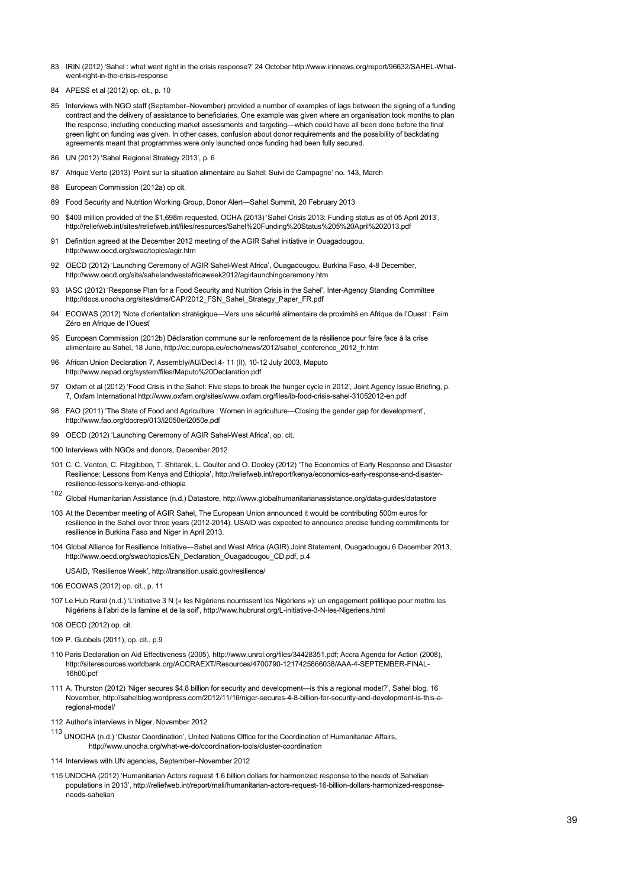- 83 IRIN (2012) 'Sahel : what went right in the crisis response?' 24 Octobe[r http://www.irinnews.org/report/96632/SAHEL-What](http://www.irinnews.org/report/96632/SAHEL-What-went-right-in-the-crisis-response)[went-right-in-the-crisis-response](http://www.irinnews.org/report/96632/SAHEL-What-went-right-in-the-crisis-response)
- 84 APESS et al (2012) op. cit., p. 10
- 85 Interviews with NGO staff (September–November) provided a number of examples of lags between the signing of a funding contract and the delivery of assistance to beneficiaries. One example was given where an organisation took months to plan the response, including conducting market assessments and targeting—which could have all been done before the final green light on funding was given. In other cases, confusion about donor requirements and the possibility of backdating agreements meant that programmes were only launched once funding had been fully secured.
- 86 UN (2012) 'Sahel Regional Strategy 2013', p. 6
- 87 Afrique Verte (2013) 'Point sur la situation alimentaire au Sahel: Suivi de Campagne' no. 143, March
- 88 European Commission (2012a) op cit.
- 89 Food Security and Nutrition Working Group, Donor Alert—Sahel Summit, 20 February 2013
- 90 \$403 million provided of the \$1,698m requested. OCHA (2013) 'Sahel Crisis 2013: Funding status as of 05 April 2013', <http://reliefweb.int/sites/reliefweb.int/files/resources/Sahel%20Funding%20Status%205%20April%202013.pdf>
- 91 Definition agreed at the December 2012 meeting of the AGIR Sahel initiative in Ouagadougou, <http://www.oecd.org/swac/topics/agir.htm>
- 92 OECD (2012) 'Launching Ceremony of AGIR Sahel-West Africa', Ouagadougou, Burkina Faso, 4-8 December, <http://www.oecd.org/site/sahelandwestafricaweek2012/agirlaunchingceremony.htm>
- 93 IASC (2012) 'Response Plan for a Food Security and Nutrition Crisis in the Sahel', Inter-Agency Standing Committee http://docs.unocha.org/sites/dms/CAP/2012\_FSN\_Sahel\_Strategy\_Paper\_FR.pdf
- 94 ECOWAS (2012) 'Note d'orientation stratégique—Vers une sécurité alimentaire de proximité en Afrique de l'Ouest : Faim Zéro en Afrique de l'Ouest
- 95 European Commission (2012b) Déclaration commune sur le renforcement de la résilience pour faire face à la crise alimentaire au Sahel, 18 June[, http://ec.europa.eu/echo/news/2012/sahel\\_conference\\_2012\\_fr.htm](http://ec.europa.eu/echo/news/2012/sahel_conference_2012_fr.htm)
- 96 African Union Declaration 7, Assembly/AU/Decl.4- 11 (II), 10-12 July 2003, Maputo <http://www.nepad.org/system/files/Maputo%20Declaration.pdf>
- 97 Oxfam et al (2012) 'Food Crisis in the Sahel: Five steps to break the hunger cycle in 2012', Joint Agency Issue Briefing, p. 7, Oxfam Internationa[l http://www.oxfam.org/sites/www.oxfam.org/files/ib-food-crisis-sahel-31052012-en.pdf](http://www.oxfam.org/sites/www.oxfam.org/files/ib-food-crisis-sahel-31052012-en.pdf)
- 98 FAO (2011) 'The State of Food and Agriculture : Women in agriculture—Closing the gender gap for development', <http://www.fao.org/docrep/013/i2050e/i2050e.pdf>
- 99 OECD (2012) 'Launching Ceremony of AGIR Sahel-West Africa', op. cit.
- 100 Interviews with NGOs and donors, December 2012
- 101 C. C. Venton, C. Fitzgibbon, T. Shitarek, L. Coulter and O. Dooley (2012) 'The Economics of Early Response and Disaster Resilience: Lessons from Kenya and Ethiopia', [http://reliefweb.int/report/kenya/economics-early-response-and-disaster](http://reliefweb.int/report/kenya/economics-early-response-and-disaster-resilience-lessons-kenya-and-ethiopia)[resilience-lessons-kenya-and-ethiopia](http://reliefweb.int/report/kenya/economics-early-response-and-disaster-resilience-lessons-kenya-and-ethiopia)
- <sup>102</sup> Global Humanitarian Assistance (n.d.) Datastore, <http://www.globalhumanitarianassistance.org/data-guides/datastore>
- 103 At the December meeting of AGIR Sahel, The European Union announced it would be contributing 500m euros for resilience in the Sahel over three years (2012-2014). USAID was expected to announce precise funding commitments for resilience in Burkina Faso and Niger in April 2013.
- 104 Global Alliance for Resilience Initiative—Sahel and West Africa (AGIR) Joint Statement, Ouagadougou 6 December 2013, [http://www.oecd.org/swac/topics/EN\\_Declaration\\_Ouagadougou\\_CD.pdf,](http://www.oecd.org/swac/topics/EN_Declaration_Ouagadougou_CD.pdf) p.4
	- USAID, 'Resilience Week'[, http://transition.usaid.gov/resilience/](http://transition.usaid.gov/resilience/)
- 106 ECOWAS (2012) op. cit., p. 11
- 107 Le Hub Rural (n.d.) 'L'initiative 3 N (« les Nigériens nourrissent les Nigériens »): un engagement politique pour mettre les Nigériens à l'abri de la famine et de la soif'[, http://www.hubrural.org/L-initiative-3-N-les-Nigeriens.html](http://www.hubrural.org/L-initiative-3-N-les-Nigeriens.html)
- 108 OECD (2012) op. cit.
- 109 P. Gubbels (2011), op. cit., p.9
- 110 Paris Declaration on Aid Effectiveness (2005), [http://www.unrol.org/files/34428351.pdf;](http://www.unrol.org/files/34428351.pdf) Accra Agenda for Action (2008), [http://siteresources.worldbank.org/ACCRAEXT/Resources/4700790-1217425866038/AAA-4-SEPTEMBER-FINAL-](http://siteresources.worldbank.org/ACCRAEXT/Resources/4700790-1217425866038/AAA-4-SEPTEMBER-FINAL-16h00.pdf)[16h00.pdf](http://siteresources.worldbank.org/ACCRAEXT/Resources/4700790-1217425866038/AAA-4-SEPTEMBER-FINAL-16h00.pdf)
- 111 A. Thurston (2012) 'Niger secures \$4.8 billion for security and development—is this a regional model?', Sahel blog, 16 November[, http://sahelblog.wordpress.com/2012/11/16/niger-secures-4-8-billion-for-security-and-development-is-this-a](http://sahelblog.wordpress.com/2012/11/16/niger-secures-4-8-billion-for-security-and-development-is-this-a-regional-model/)[regional-model/](http://sahelblog.wordpress.com/2012/11/16/niger-secures-4-8-billion-for-security-and-development-is-this-a-regional-model/)

112 Author's interviews in Niger, November 2012

- <sup>113</sup> UNOCHA (n.d.) 'Cluster Coordination', United Nations Office for the Coordination of Humanitarian Affairs, <http://www.unocha.org/what-we-do/coordination-tools/cluster-coordination>
- 114 Interviews with UN agencies, September–November 2012
- 115 UNOCHA (2012) 'Humanitarian Actors request 1.6 billion dollars for harmonized response to the needs of Sahelian populations in 2013'[, http://reliefweb.int/report/mali/humanitarian-actors-request-16-billion-dollars-harmonized-response](http://reliefweb.int/report/mali/humanitarian-actors-request-16-billion-dollars-harmonized-response-needs-sahelian)[needs-sahelian](http://reliefweb.int/report/mali/humanitarian-actors-request-16-billion-dollars-harmonized-response-needs-sahelian)